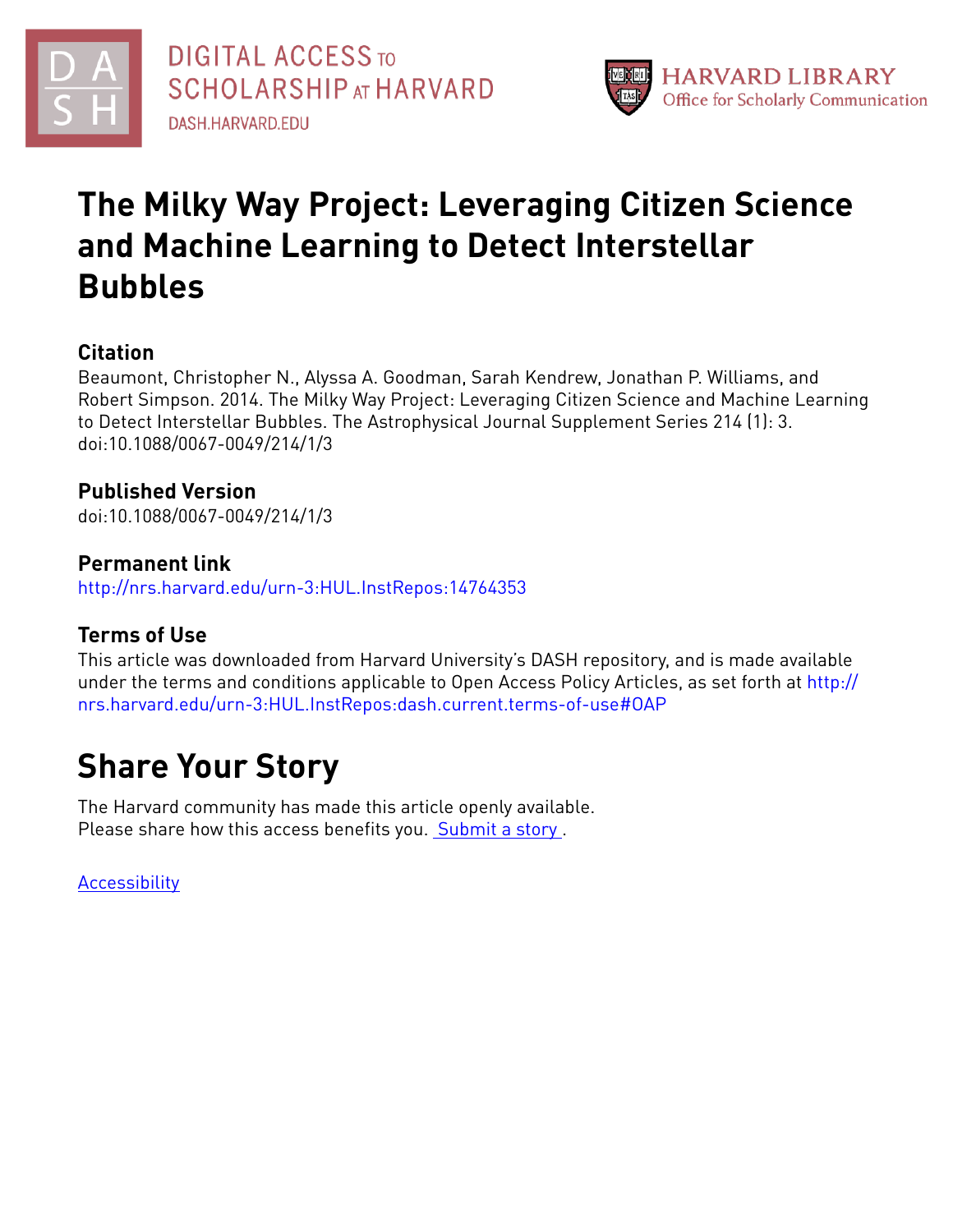



# **The Milky Way Project: Leveraging Citizen Science and Machine Learning to Detect Interstellar Bubbles**

## **Citation**

Beaumont, Christopher N., Alyssa A. Goodman, Sarah Kendrew, Jonathan P. Williams, and Robert Simpson. 2014. The Milky Way Project: Leveraging Citizen Science and Machine Learning to Detect Interstellar Bubbles. The Astrophysical Journal Supplement Series 214 (1): 3. doi:10.1088/0067-0049/214/1/3

## **Published Version**

doi:10.1088/0067-0049/214/1/3

### **Permanent link**

<http://nrs.harvard.edu/urn-3:HUL.InstRepos:14764353>

## **Terms of Use**

This article was downloaded from Harvard University's DASH repository, and is made available under the terms and conditions applicable to Open Access Policy Articles, as set forth at [http://](http://nrs.harvard.edu/urn-3:HUL.InstRepos:dash.current.terms-of-use#OAP) [nrs.harvard.edu/urn-3:HUL.InstRepos:dash.current.terms-of-use#OAP](http://nrs.harvard.edu/urn-3:HUL.InstRepos:dash.current.terms-of-use#OAP)

# **Share Your Story**

The Harvard community has made this article openly available. Please share how this access benefits you. [Submit](http://osc.hul.harvard.edu/dash/open-access-feedback?handle=&title=The%20Milky%20Way%20Project:%20Leveraging%20Citizen%20Science%20and%20Machine%20Learning%20to%20Detect%20Interstellar%20Bubbles&community=1/1&collection=1/2&owningCollection1/2&harvardAuthors=eb1e79c36acb5a7759630dd74fb9732e&departmentAstronomy) a story.

[Accessibility](https://dash.harvard.edu/pages/accessibility)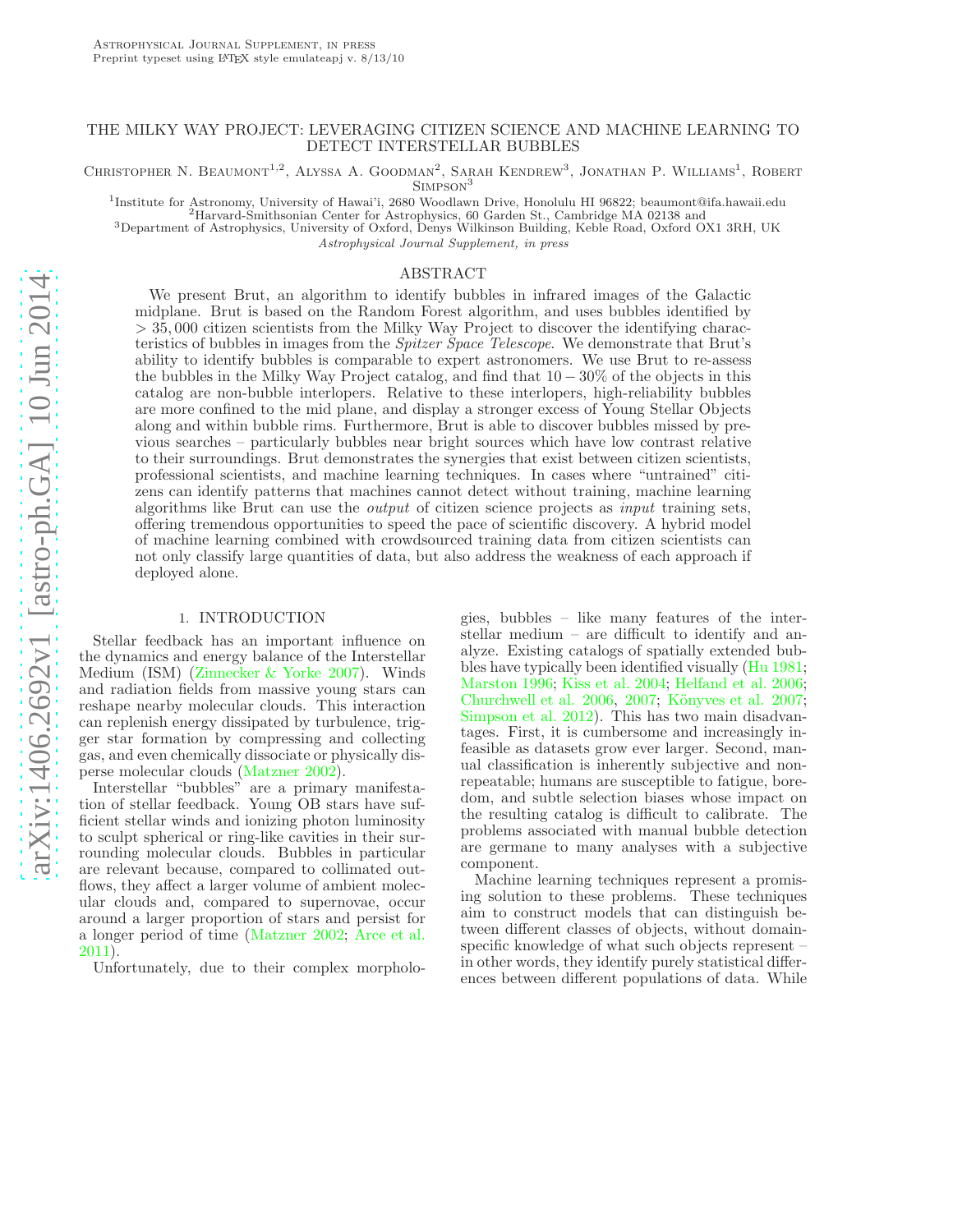#### THE MILKY WAY PROJECT: LEVERAGING CITIZEN SCIENCE AND MACHINE LEARNING TO DETECT INTERSTELLAR BUBBLES

CHRISTOPHER N. BEAUMONT<sup>1,2</sup>, ALYSSA A. GOODMAN<sup>2</sup>, SARAH KENDREW<sup>3</sup>, JONATHAN P. WILLIAMS<sup>1</sup>, ROBERT

SIMPSON<sup>3</sup>

<sup>1</sup>Institute for Astronomy, University of Hawai'i, 2680 Woodlawn Drive, Honolulu HI 96822; beaumont@ifa.hawaii.edu<br><sup>2</sup>Harvard-Smithsonian Center for Astrophysics, 60 Garden St., Cambridge MA 02138 and

<sup>3</sup>Department of Astrophysics, University of Oxford, Denys Wilkinson Building, Keble Road, Oxford OX1 3RH, UK

Astrophysical Journal Supplement, in press

#### ABSTRACT

We present Brut, an algorithm to identify bubbles in infrared images of the Galactic midplane. Brut is based on the Random Forest algorithm, and uses bubbles identified by > 35, 000 citizen scientists from the Milky Way Project to discover the identifying characteristics of bubbles in images from the Spitzer Space Telescope. We demonstrate that Brut's ability to identify bubbles is comparable to expert astronomers. We use Brut to re-assess the bubbles in the Milky Way Project catalog, and find that 10 − 30% of the objects in this catalog are non-bubble interlopers. Relative to these interlopers, high-reliability bubbles are more confined to the mid plane, and display a stronger excess of Young Stellar Objects along and within bubble rims. Furthermore, Brut is able to discover bubbles missed by previous searches – particularly bubbles near bright sources which have low contrast relative to their surroundings. Brut demonstrates the synergies that exist between citizen scientists, professional scientists, and machine learning techniques. In cases where "untrained" citizens can identify patterns that machines cannot detect without training, machine learning algorithms like Brut can use the output of citizen science projects as input training sets, offering tremendous opportunities to speed the pace of scientific discovery. A hybrid model of machine learning combined with crowdsourced training data from citizen scientists can not only classify large quantities of data, but also address the weakness of each approach if deployed alone.

#### 1. INTRODUCTION

Stellar feedback has an important influence on the dynamics and energy balance of the Interstellar Medium (ISM) [\(Zinnecker & Yorke 2007\)](#page-23-0). Winds and radiation fields from massive young stars can reshape nearby molecular clouds. This interaction can replenish energy dissipated by turbulence, trigger star formation by compressing and collecting gas, and even chemically dissociate or physically disperse molecular clouds [\(Matzner 2002\)](#page-23-1).

Interstellar "bubbles" are a primary manifestation of stellar feedback. Young OB stars have sufficient stellar winds and ionizing photon luminosity to sculpt spherical or ring-like cavities in their surrounding molecular clouds. Bubbles in particular are relevant because, compared to collimated outflows, they affect a larger volume of ambient molecular clouds and, compared to supernovae, occur around a larger proportion of stars and persist for a longer period of time [\(Matzner 2002](#page-23-1); [Arce et al.](#page-22-0) [2011\)](#page-22-0).

Unfortunately, due to their complex morpholo-

gies, bubbles – like many features of the interstellar medium – are difficult to identify and analyze. Existing catalogs of spatially extended bubbles have typically been identified visually [\(Hu 1981](#page-23-2); [Marston 1996;](#page-23-3) [Kiss et al. 2004;](#page-23-4) [Helfand et al. 2006](#page-23-5); [Churchwell et al. 2006,](#page-22-1) [2007;](#page-22-2) Könyves et al. 2007; [Simpson et al. 2012\)](#page-23-7). This has two main disadvantages. First, it is cumbersome and increasingly infeasible as datasets grow ever larger. Second, manual classification is inherently subjective and nonrepeatable; humans are susceptible to fatigue, boredom, and subtle selection biases whose impact on the resulting catalog is difficult to calibrate. The problems associated with manual bubble detection are germane to many analyses with a subjective component.

Machine learning techniques represent a promising solution to these problems. These techniques aim to construct models that can distinguish between different classes of objects, without domainspecific knowledge of what such objects represent – in other words, they identify purely statistical differences between different populations of data. While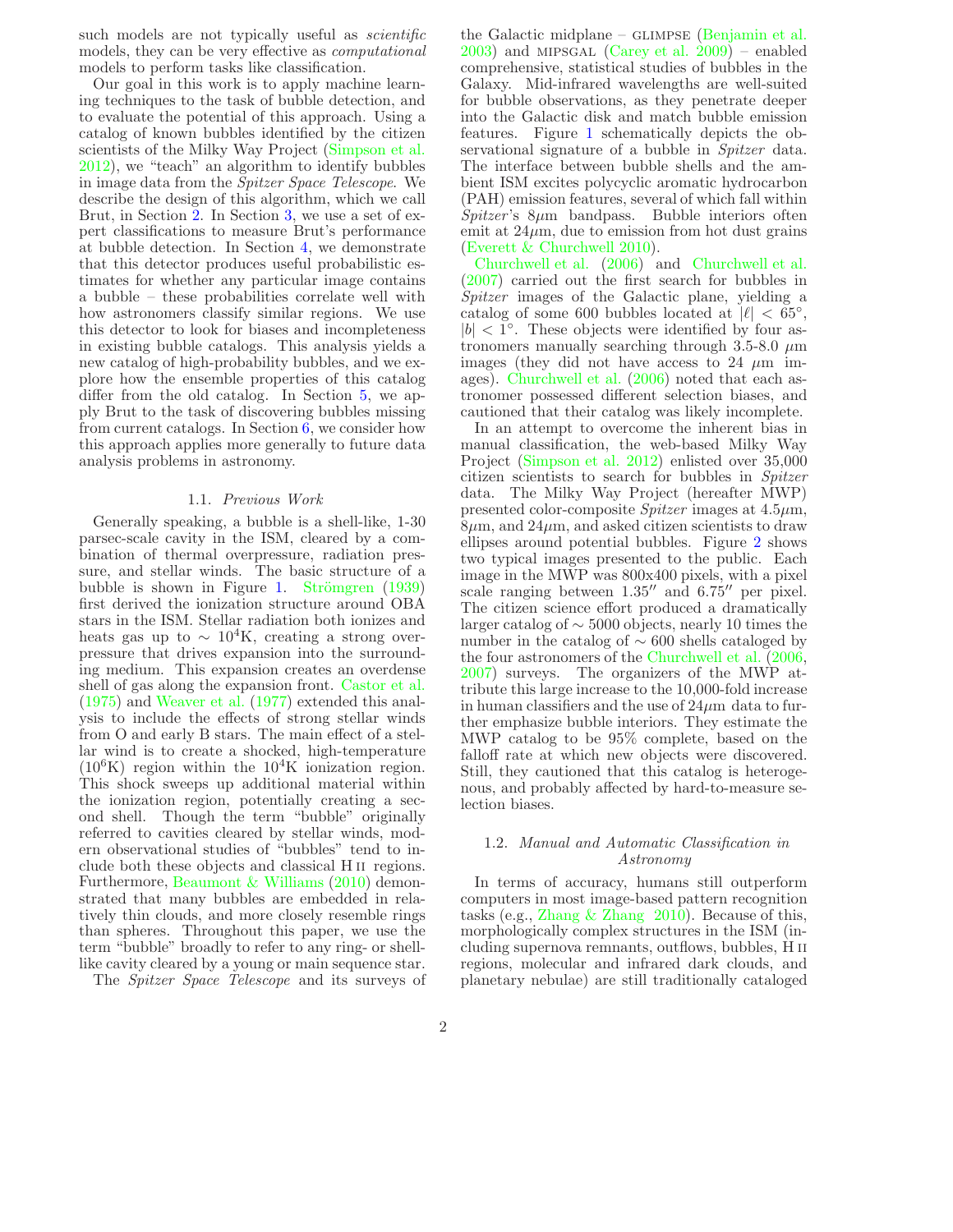such models are not typically useful as *scientific* models, they can be very effective as computational models to perform tasks like classification.

Our goal in this work is to apply machine learning techniques to the task of bubble detection, and to evaluate the potential of this approach. Using a catalog of known bubbles identified by the citizen scientists of the Milky Way Project [\(Simpson et al.](#page-23-7) [2012\)](#page-23-7), we "teach" an algorithm to identify bubbles in image data from the Spitzer Space Telescope. We describe the design of this algorithm, which we call Brut, in Section [2.](#page-4-0) In Section [3,](#page-10-0) we use a set of expert classifications to measure Brut's performance at bubble detection. In Section [4,](#page-12-0) we demonstrate that this detector produces useful probabilistic estimates for whether any particular image contains a bubble – these probabilities correlate well with how astronomers classify similar regions. We use this detector to look for biases and incompleteness in existing bubble catalogs. This analysis yields a new catalog of high-probability bubbles, and we explore how the ensemble properties of this catalog differ from the old catalog. In Section [5,](#page-19-0) we apply Brut to the task of discovering bubbles missing from current catalogs. In Section [6,](#page-21-0) we consider how this approach applies more generally to future data analysis problems in astronomy.

#### 1.1. Previous Work

Generally speaking, a bubble is a shell-like, 1-30 parsec-scale cavity in the ISM, cleared by a combination of thermal overpressure, radiation pressure, and stellar winds. The basic structure of a bubble is shown in Figure [1.](#page-3-0) Strömgren  $(1939)$ first derived the ionization structure around OBA stars in the ISM. Stellar radiation both ionizes and heats gas up to  $\sim 10^4$ K, creating a strong overpressure that drives expansion into the surrounding medium. This expansion creates an overdense shell of gas along the expansion front. [Castor et al.](#page-22-3) [\(1975\)](#page-22-3) and [Weaver et al.](#page-23-9) [\(1977](#page-23-9)) extended this analysis to include the effects of strong stellar winds from O and early B stars. The main effect of a stellar wind is to create a shocked, high-temperature  $(10^6$ K) region within the  $10^4$ K ionization region. This shock sweeps up additional material within the ionization region, potentially creating a second shell. Though the term "bubble" originally referred to cavities cleared by stellar winds, modern observational studies of "bubbles" tend to include both these objects and classical H ii regions. Furthermore, [Beaumont & Williams](#page-22-4) [\(2010\)](#page-22-4) demonstrated that many bubbles are embedded in relatively thin clouds, and more closely resemble rings than spheres. Throughout this paper, we use the term "bubble" broadly to refer to any ring- or shelllike cavity cleared by a young or main sequence star.

The Spitzer Space Telescope and its surveys of

the Galactic midplane –  $GLIMPSE$  [\(Benjamin et al.](#page-22-5) [2003\)](#page-22-5) and mipsgal [\(Carey et al. 2009\)](#page-22-6) – enabled comprehensive, statistical studies of bubbles in the Galaxy. Mid-infrared wavelengths are well-suited for bubble observations, as they penetrate deeper into the Galactic disk and match bubble emission features. Figure [1](#page-3-0) schematically depicts the observational signature of a bubble in *Spitzer* data. The interface between bubble shells and the ambient ISM excites polycyclic aromatic hydrocarbon (PAH) emission features, several of which fall within  $Spitzer's$  8 $\mu$ m bandpass. Bubble interiors often emit at  $24\mu$ m, due to emission from hot dust grains [\(Everett & Churchwell 2010\)](#page-23-10).

[Churchwell et al.](#page-22-1) [\(2006](#page-22-1)) and [Churchwell et al.](#page-22-2) [\(2007\)](#page-22-2) carried out the first search for bubbles in Spitzer images of the Galactic plane, yielding a catalog of some 600 bubbles located at  $|\ell| < 65^{\circ}$ ,  $|b| < 1^\circ$ . These objects were identified by four astronomers manually searching through 3.5-8.0  $\mu$ m images (they did not have access to 24  $\mu$ m images). [Churchwell et al.](#page-22-1) [\(2006\)](#page-22-1) noted that each astronomer possessed different selection biases, and cautioned that their catalog was likely incomplete.

In an attempt to overcome the inherent bias in manual classification, the web-based Milky Way Project [\(Simpson et al. 2012\)](#page-23-7) enlisted over 35,000 citizen scientists to search for bubbles in Spitzer data. The Milky Way Project (hereafter MWP) presented color-composite  $Spitzer$  images at  $4.5\mu$ m,  $8\mu$ m, and  $24\mu$ m, and asked citizen scientists to draw ellipses around potential bubbles. Figure [2](#page-3-1) shows two typical images presented to the public. Each image in the MWP was 800x400 pixels, with a pixel scale ranging between 1.35′′ and 6.75′′ per pixel. The citizen science effort produced a dramatically larger catalog of ∼ 5000 objects, nearly 10 times the number in the catalog of ∼ 600 shells cataloged by the four astronomers of the [Churchwell et al.](#page-22-1) [\(2006](#page-22-1), [2007\)](#page-22-2) surveys. The organizers of the MWP attribute this large increase to the 10,000-fold increase in human classifiers and the use of  $24\mu$ m data to further emphasize bubble interiors. They estimate the MWP catalog to be 95% complete, based on the falloff rate at which new objects were discovered. Still, they cautioned that this catalog is heterogenous, and probably affected by hard-to-measure selection biases.

#### 1.2. Manual and Automatic Classification in Astronomy

In terms of accuracy, humans still outperform computers in most image-based pattern recognition tasks (e.g., Zhang  $&$  Zhang 2010). Because of this, morphologically complex structures in the ISM (including supernova remnants, outflows, bubbles, H ii regions, molecular and infrared dark clouds, and planetary nebulae) are still traditionally cataloged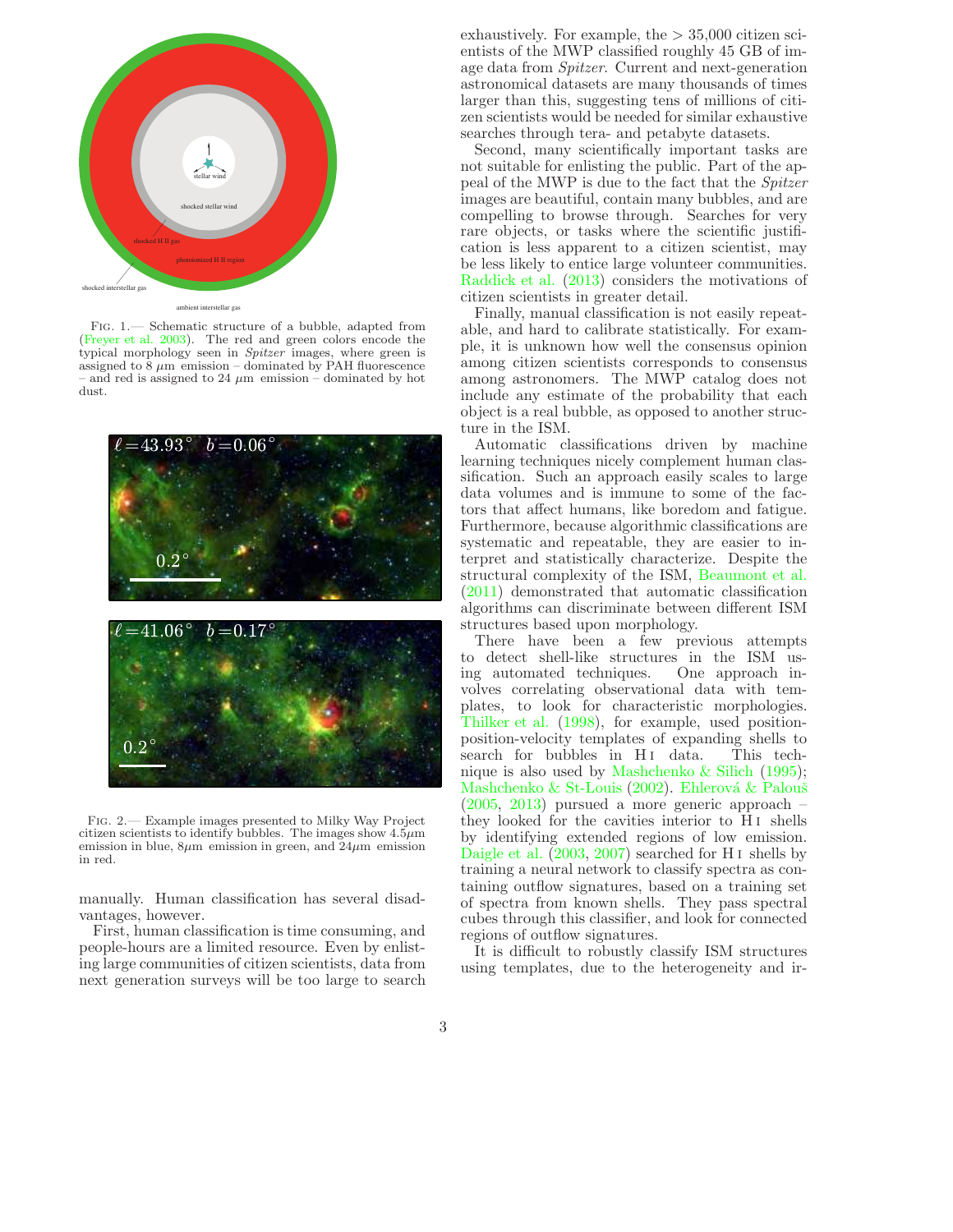

<span id="page-3-0"></span>ambient interstellar gas

Fig. 1.— Schematic structure of a bubble, adapted from [\(Freyer et al. 2003\)](#page-23-12). The red and green colors encode the typical morphology seen in Spitzer images, where green is assigned to  $\frac{8}{9} \mu m$  emission – dominated by PAH fluorescence – and red is assigned to 24  $\mu$ m emission – dominated by hot dust.



<span id="page-3-1"></span>Fig. 2.— Example images presented to Milky Way Project citizen scientists to identify bubbles. The images show  $4.5\mu m$ emission in blue,  $8\mu$ m emission in green, and  $24\mu$ m emission in red.

manually. Human classification has several disadvantages, however.

First, human classification is time consuming, and people-hours are a limited resource. Even by enlisting large communities of citizen scientists, data from next generation surveys will be too large to search exhaustively. For example, the  $> 35,000$  citizen scientists of the MWP classified roughly 45 GB of image data from Spitzer. Current and next-generation astronomical datasets are many thousands of times larger than this, suggesting tens of millions of citizen scientists would be needed for similar exhaustive searches through tera- and petabyte datasets.

Second, many scientifically important tasks are not suitable for enlisting the public. Part of the appeal of the MWP is due to the fact that the Spitzer images are beautiful, contain many bubbles, and are compelling to browse through. Searches for very rare objects, or tasks where the scientific justification is less apparent to a citizen scientist, may be less likely to entice large volunteer communities. [Raddick et al.](#page-23-13) [\(2013](#page-23-13)) considers the motivations of citizen scientists in greater detail.

Finally, manual classification is not easily repeatable, and hard to calibrate statistically. For example, it is unknown how well the consensus opinion among citizen scientists corresponds to consensus among astronomers. The MWP catalog does not include any estimate of the probability that each object is a real bubble, as opposed to another structure in the ISM.

Automatic classifications driven by machine learning techniques nicely complement human classification. Such an approach easily scales to large data volumes and is immune to some of the factors that affect humans, like boredom and fatigue. Furthermore, because algorithmic classifications are systematic and repeatable, they are easier to interpret and statistically characterize. Despite the structural complexity of the ISM, [Beaumont et al.](#page-22-7) [\(2011\)](#page-22-7) demonstrated that automatic classification algorithms can discriminate between different ISM structures based upon morphology.

There have been a few previous attempts to detect shell-like structures in the ISM using automated techniques. One approach involves correlating observational data with templates, to look for characteristic morphologies. [Thilker et al.](#page-23-14) [\(1998](#page-23-14)), for example, used positionposition-velocity templates of expanding shells to search for bubbles in H<sub>I</sub> data. This technique is also used by [Mashchenko & Silich](#page-23-15) [\(1995](#page-23-15)); [Mashchenko & St-Louis](#page-23-16) [\(2002\)](#page-23-16). Ehlerová & Palouš [\(2005,](#page-23-17) [2013\)](#page-23-18) pursued a more generic approach – they looked for the cavities interior to H i shells by identifying extended regions of low emission. [Daigle et al.](#page-22-8) [\(2003,](#page-22-8) [2007\)](#page-22-9) searched for H i shells by training a neural network to classify spectra as containing outflow signatures, based on a training set of spectra from known shells. They pass spectral cubes through this classifier, and look for connected regions of outflow signatures.

It is difficult to robustly classify ISM structures using templates, due to the heterogeneity and ir-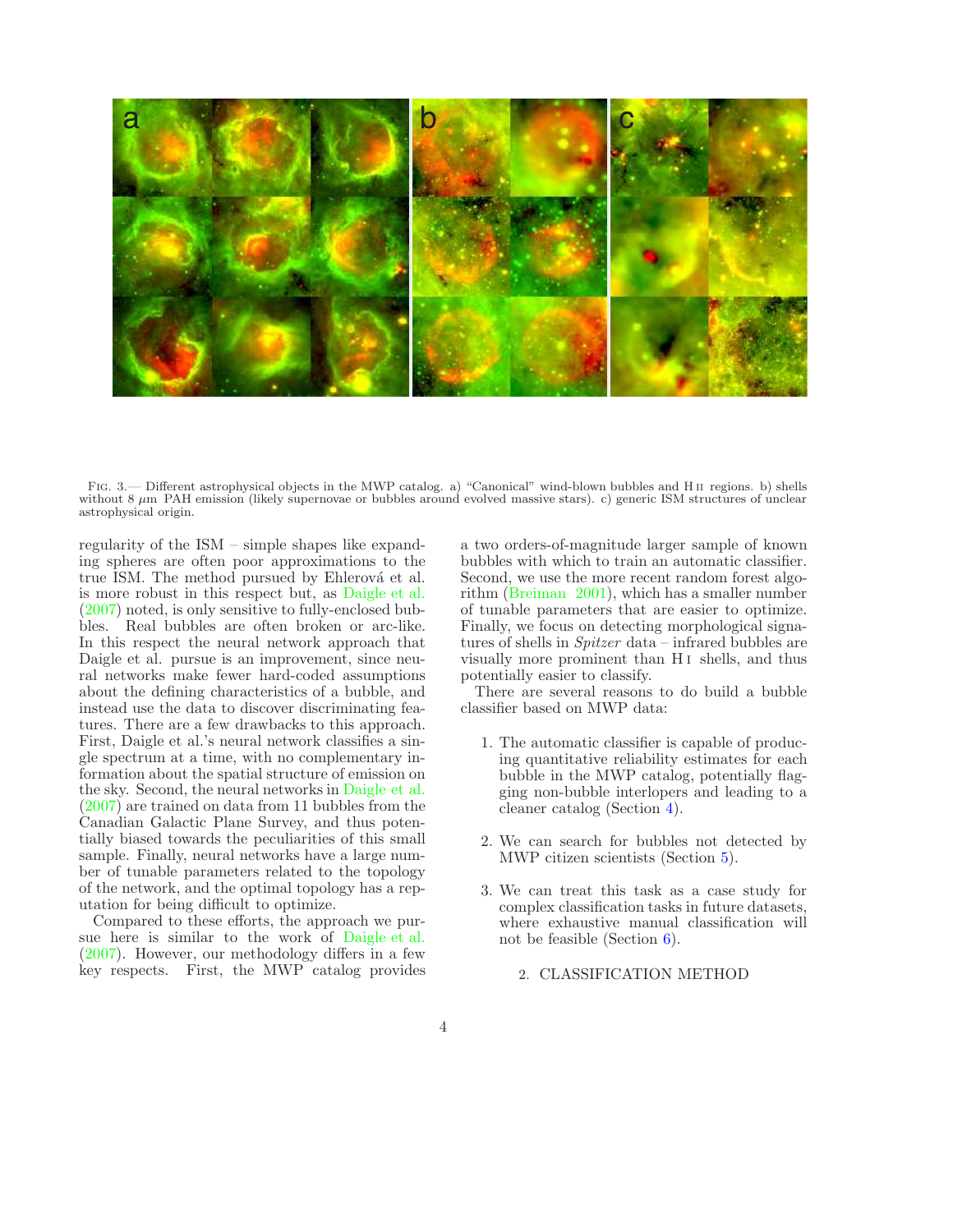

<span id="page-4-1"></span>FIG. 3.— Different astrophysical objects in the MWP catalog. a) "Canonical" wind-blown bubbles and HII regions. b) shells without 8  $\mu$ m PAH emission (likely supernovae or bubbles around evolved massive stars). c) generic ISM structures of unclear astrophysical origin.

regularity of the ISM – simple shapes like expanding spheres are often poor approximations to the true ISM. The method pursued by Ehlerová et al. is more robust in this respect but, as [Daigle et al.](#page-22-9) [\(2007\)](#page-22-9) noted, is only sensitive to fully-enclosed bubbles. Real bubbles are often broken or arc-like. In this respect the neural network approach that Daigle et al. pursue is an improvement, since neural networks make fewer hard-coded assumptions about the defining characteristics of a bubble, and instead use the data to discover discriminating features. There are a few drawbacks to this approach. First, Daigle et al.'s neural network classifies a single spectrum at a time, with no complementary information about the spatial structure of emission on the sky. Second, the neural networks in [Daigle et al.](#page-22-9) [\(2007\)](#page-22-9) are trained on data from 11 bubbles from the Canadian Galactic Plane Survey, and thus potentially biased towards the peculiarities of this small sample. Finally, neural networks have a large number of tunable parameters related to the topology of the network, and the optimal topology has a reputation for being difficult to optimize.

Compared to these efforts, the approach we pursue here is similar to the work of [Daigle et al.](#page-22-9) [\(2007\)](#page-22-9). However, our methodology differs in a few key respects. First, the MWP catalog provides a two orders-of-magnitude larger sample of known bubbles with which to train an automatic classifier. Second, we use the more recent random forest algorithm [\(Breiman 2001\)](#page-22-10), which has a smaller number of tunable parameters that are easier to optimize. Finally, we focus on detecting morphological signatures of shells in Spitzer data – infrared bubbles are visually more prominent than H<sub>I</sub> shells, and thus potentially easier to classify.

There are several reasons to do build a bubble classifier based on MWP data:

- 1. The automatic classifier is capable of producing quantitative reliability estimates for each bubble in the MWP catalog, potentially flagging non-bubble interlopers and leading to a cleaner catalog (Section [4\)](#page-12-0).
- 2. We can search for bubbles not detected by MWP citizen scientists (Section [5\)](#page-19-0).
- <span id="page-4-0"></span>3. We can treat this task as a case study for complex classification tasks in future datasets, where exhaustive manual classification will not be feasible (Section [6\)](#page-21-0).
	- 2. CLASSIFICATION METHOD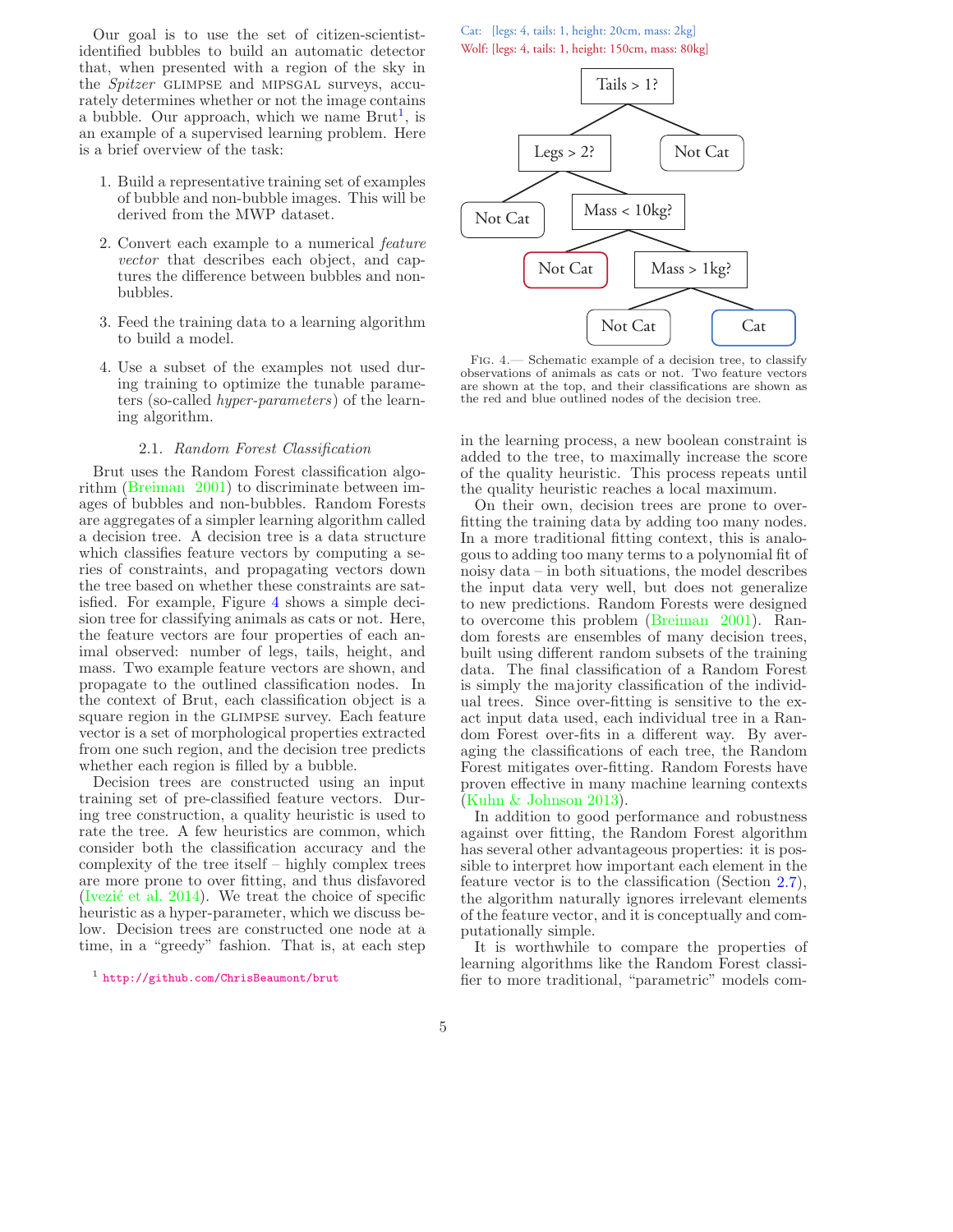Our goal is to use the set of citizen-scientistidentified bubbles to build an automatic detector that, when presented with a region of the sky in the Spitzer GLIMPSE and MIPSGAL surveys, accurately determines whether or not the image contains a bubble. Our approach, which we name  $Brut<sup>1</sup>$  $Brut<sup>1</sup>$  $Brut<sup>1</sup>$ , is an example of a supervised learning problem. Here is a brief overview of the task:

- 1. Build a representative training set of examples of bubble and non-bubble images. This will be derived from the MWP dataset.
- 2. Convert each example to a numerical feature vector that describes each object, and captures the difference between bubbles and nonbubbles.
- 3. Feed the training data to a learning algorithm to build a model.
- 4. Use a subset of the examples not used during training to optimize the tunable parameters (so-called hyper-parameters) of the learning algorithm.

#### 2.1. Random Forest Classification

Brut uses the Random Forest classification algorithm [\(Breiman 2001\)](#page-22-10) to discriminate between images of bubbles and non-bubbles. Random Forests are aggregates of a simpler learning algorithm called a decision tree. A decision tree is a data structure which classifies feature vectors by computing a series of constraints, and propagating vectors down the tree based on whether these constraints are satisfied. For example, Figure [4](#page-5-1) shows a simple decision tree for classifying animals as cats or not. Here, the feature vectors are four properties of each animal observed: number of legs, tails, height, and mass. Two example feature vectors are shown, and propagate to the outlined classification nodes. In the context of Brut, each classification object is a square region in the GLIMPSE survey. Each feature vector is a set of morphological properties extracted from one such region, and the decision tree predicts whether each region is filled by a bubble.

Decision trees are constructed using an input training set of pre-classified feature vectors. During tree construction, a quality heuristic is used to rate the tree. A few heuristics are common, which consider both the classification accuracy and the complexity of the tree itself – highly complex trees are more prone to over fitting, and thus disfavored (Ivezić et al.  $2014$ ). We treat the choice of specific heuristic as a hyper-parameter, which we discuss below. Decision trees are constructed one node at a time, in a "greedy" fashion. That is, at each step

Cat: [legs: 4, tails: 1, height: 20cm, mass: 2kg] Wolf: [legs: 4, tails: 1, height: 150cm, mass: 80kg]



<span id="page-5-1"></span>Fig. 4.— Schematic example of a decision tree, to classify observations of animals as cats or not. Two feature vectors are shown at the top, and their classifications are shown as the red and blue outlined nodes of the decision tree.

in the learning process, a new boolean constraint is added to the tree, to maximally increase the score of the quality heuristic. This process repeats until the quality heuristic reaches a local maximum.

On their own, decision trees are prone to overfitting the training data by adding too many nodes. In a more traditional fitting context, this is analogous to adding too many terms to a polynomial fit of noisy data – in both situations, the model describes the input data very well, but does not generalize to new predictions. Random Forests were designed to overcome this problem [\(Breiman 2001](#page-22-10)). Random forests are ensembles of many decision trees, built using different random subsets of the training data. The final classification of a Random Forest is simply the majority classification of the individual trees. Since over-fitting is sensitive to the exact input data used, each individual tree in a Random Forest over-fits in a different way. By averaging the classifications of each tree, the Random Forest mitigates over-fitting. Random Forests have proven effective in many machine learning contexts [\(Kuhn & Johnson 2013\)](#page-23-20).

In addition to good performance and robustness against over fitting, the Random Forest algorithm has several other advantageous properties: it is possible to interpret how important each element in the feature vector is to the classification (Section [2.7\)](#page-9-0), the algorithm naturally ignores irrelevant elements of the feature vector, and it is conceptually and computationally simple.

It is worthwhile to compare the properties of learning algorithms like the Random Forest classifier to more traditional, "parametric" models com-

<span id="page-5-0"></span><sup>1</sup> <http://github.com/ChrisBeaumont/brut>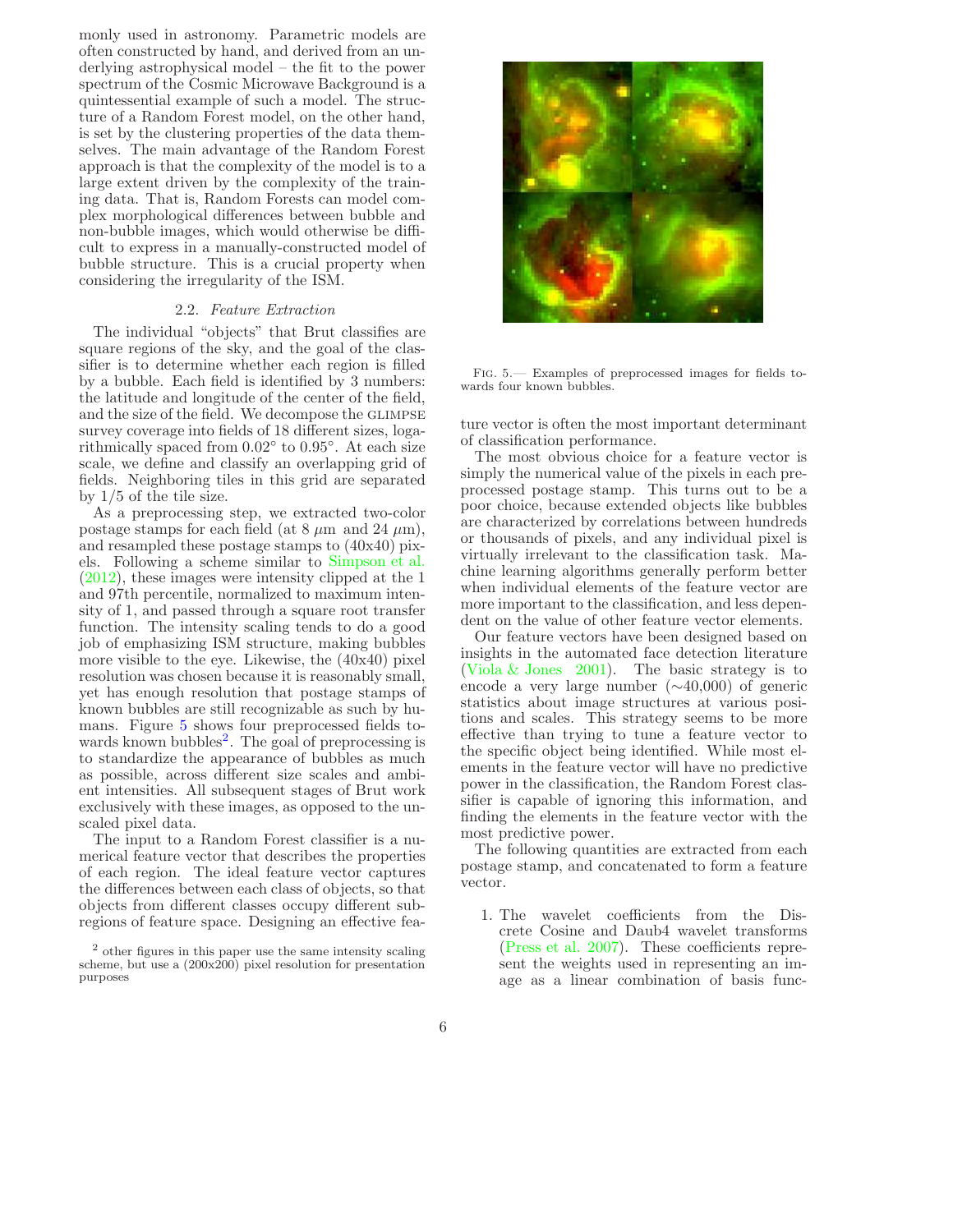monly used in astronomy. Parametric models are often constructed by hand, and derived from an underlying astrophysical model – the fit to the power spectrum of the Cosmic Microwave Background is a quintessential example of such a model. The structure of a Random Forest model, on the other hand, is set by the clustering properties of the data themselves. The main advantage of the Random Forest approach is that the complexity of the model is to a large extent driven by the complexity of the training data. That is, Random Forests can model complex morphological differences between bubble and non-bubble images, which would otherwise be difficult to express in a manually-constructed model of bubble structure. This is a crucial property when considering the irregularity of the ISM.

#### 2.2. Feature Extraction

<span id="page-6-2"></span>The individual "objects" that Brut classifies are square regions of the sky, and the goal of the classifier is to determine whether each region is filled by a bubble. Each field is identified by 3 numbers: the latitude and longitude of the center of the field, and the size of the field. We decompose the GLIMPSE survey coverage into fields of 18 different sizes, logarithmically spaced from  $0.02^\circ$  to  $0.95^\circ$ . At each size scale, we define and classify an overlapping grid of fields. Neighboring tiles in this grid are separated by 1/5 of the tile size.

As a preprocessing step, we extracted two-color postage stamps for each field (at  $8 \mu m$  and  $24 \mu m$ ), and resampled these postage stamps to (40x40) pixels. Following a scheme similar to [Simpson et al.](#page-23-7) [\(2012\)](#page-23-7), these images were intensity clipped at the 1 and 97th percentile, normalized to maximum intensity of 1, and passed through a square root transfer function. The intensity scaling tends to do a good job of emphasizing ISM structure, making bubbles more visible to the eye. Likewise, the (40x40) pixel resolution was chosen because it is reasonably small, yet has enough resolution that postage stamps of known bubbles are still recognizable as such by humans. Figure [5](#page-6-0) shows four preprocessed fields to-wards known bubbles<sup>[2](#page-6-1)</sup>. The goal of preprocessing is to standardize the appearance of bubbles as much as possible, across different size scales and ambient intensities. All subsequent stages of Brut work exclusively with these images, as opposed to the unscaled pixel data.

The input to a Random Forest classifier is a numerical feature vector that describes the properties of each region. The ideal feature vector captures the differences between each class of objects, so that objects from different classes occupy different subregions of feature space. Designing an effective fea-



Fig. 5.— Examples of preprocessed images for fields towards four known bubbles.

<span id="page-6-0"></span>ture vector is often the most important determinant of classification performance.

The most obvious choice for a feature vector is simply the numerical value of the pixels in each preprocessed postage stamp. This turns out to be a poor choice, because extended objects like bubbles are characterized by correlations between hundreds or thousands of pixels, and any individual pixel is virtually irrelevant to the classification task. Machine learning algorithms generally perform better when individual elements of the feature vector are more important to the classification, and less dependent on the value of other feature vector elements.

Our feature vectors have been designed based on insights in the automated face detection literature [\(Viola & Jones 2001\)](#page-23-21). The basic strategy is to encode a very large number (∼40,000) of generic statistics about image structures at various positions and scales. This strategy seems to be more effective than trying to tune a feature vector to the specific object being identified. While most elements in the feature vector will have no predictive power in the classification, the Random Forest classifier is capable of ignoring this information, and finding the elements in the feature vector with the most predictive power.

The following quantities are extracted from each postage stamp, and concatenated to form a feature vector.

1. The wavelet coefficients from the Discrete Cosine and Daub4 wavelet transforms [\(Press et al. 2007\)](#page-23-22). These coefficients represent the weights used in representing an image as a linear combination of basis func-

<span id="page-6-1"></span> $^{\rm 2}$  other figures in this paper use the same intensity scaling scheme, but use a (200x200) pixel resolution for presentation purposes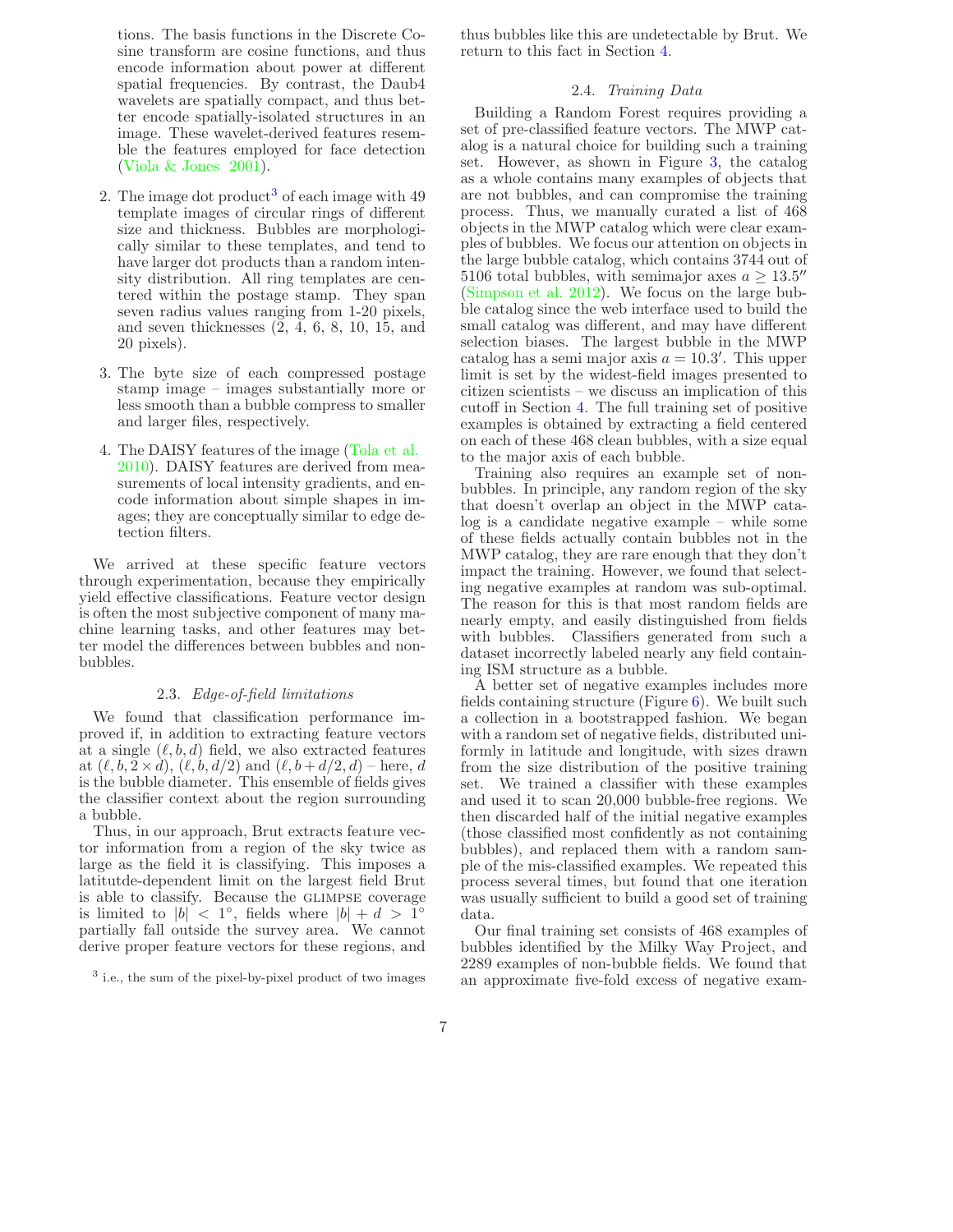tions. The basis functions in the Discrete Cosine transform are cosine functions, and thus encode information about power at different spatial frequencies. By contrast, the Daub4 wavelets are spatially compact, and thus better encode spatially-isolated structures in an image. These wavelet-derived features resemble the features employed for face detection [\(Viola & Jones 2001\)](#page-23-21).

- 2. The image dot product<sup>[3](#page-7-0)</sup> of each image with  $49$ template images of circular rings of different size and thickness. Bubbles are morphologically similar to these templates, and tend to have larger dot products than a random intensity distribution. All ring templates are centered within the postage stamp. They span seven radius values ranging from 1-20 pixels, and seven thicknesses (2, 4, 6, 8, 10, 15, and 20 pixels).
- 3. The byte size of each compressed postage stamp image – images substantially more or less smooth than a bubble compress to smaller and larger files, respectively.
- 4. The DAISY features of the image [\(Tola et al.](#page-23-23) [2010\)](#page-23-23). DAISY features are derived from measurements of local intensity gradients, and encode information about simple shapes in images; they are conceptually similar to edge detection filters.

We arrived at these specific feature vectors through experimentation, because they empirically yield effective classifications. Feature vector design is often the most subjective component of many machine learning tasks, and other features may better model the differences between bubbles and nonbubbles.

#### 2.3. Edge-of-field limitations

<span id="page-7-1"></span>We found that classification performance improved if, in addition to extracting feature vectors at a single  $(\ell, b, d)$  field, we also extracted features at  $(\ell, b, 2 \times d)$ ,  $(\ell, b, d/2)$  and  $(\ell, b + d/2, d)$  – here, d is the bubble diameter. This ensemble of fields gives the classifier context about the region surrounding a bubble.

Thus, in our approach, Brut extracts feature vector information from a region of the sky twice as large as the field it is classifying. This imposes a latitutde-dependent limit on the largest field Brut is able to classify. Because the GLIMPSE coverage is limited to  $|b| < 1^\circ$ , fields where  $|b| + d > 1^\circ$ partially fall outside the survey area. We cannot derive proper feature vectors for these regions, and

thus bubbles like this are undetectable by Brut. We return to this fact in Section [4.](#page-12-0)

#### 2.4. Training Data

Building a Random Forest requires providing a set of pre-classified feature vectors. The MWP catalog is a natural choice for building such a training set. However, as shown in Figure [3,](#page-4-1) the catalog as a whole contains many examples of objects that are not bubbles, and can compromise the training process. Thus, we manually curated a list of 468 objects in the MWP catalog which were clear examples of bubbles. We focus our attention on objects in the large bubble catalog, which contains 3744 out of 5106 total bubbles, with semimajor axes  $a \geq 13.5''$ [\(Simpson et al. 2012\)](#page-23-7). We focus on the large bubble catalog since the web interface used to build the small catalog was different, and may have different selection biases. The largest bubble in the MWP catalog has a semi major axis  $a = 10.3'$ . This upper limit is set by the widest-field images presented to citizen scientists – we discuss an implication of this cutoff in Section [4.](#page-12-0) The full training set of positive examples is obtained by extracting a field centered on each of these 468 clean bubbles, with a size equal to the major axis of each bubble.

Training also requires an example set of nonbubbles. In principle, any random region of the sky that doesn't overlap an object in the MWP catalog is a candidate negative example – while some of these fields actually contain bubbles not in the MWP catalog, they are rare enough that they don't impact the training. However, we found that selecting negative examples at random was sub-optimal. The reason for this is that most random fields are nearly empty, and easily distinguished from fields with bubbles. Classifiers generated from such a dataset incorrectly labeled nearly any field containing ISM structure as a bubble.

A better set of negative examples includes more fields containing structure (Figure  $6$ ). We built such a collection in a bootstrapped fashion. We began with a random set of negative fields, distributed uniformly in latitude and longitude, with sizes drawn from the size distribution of the positive training set. We trained a classifier with these examples and used it to scan 20,000 bubble-free regions. We then discarded half of the initial negative examples (those classified most confidently as not containing bubbles), and replaced them with a random sample of the mis-classified examples. We repeated this process several times, but found that one iteration was usually sufficient to build a good set of training data.

Our final training set consists of 468 examples of bubbles identified by the Milky Way Project, and 2289 examples of non-bubble fields. We found that an approximate five-fold excess of negative exam-

<span id="page-7-0"></span><sup>&</sup>lt;sup>3</sup> i.e., the sum of the pixel-by-pixel product of two images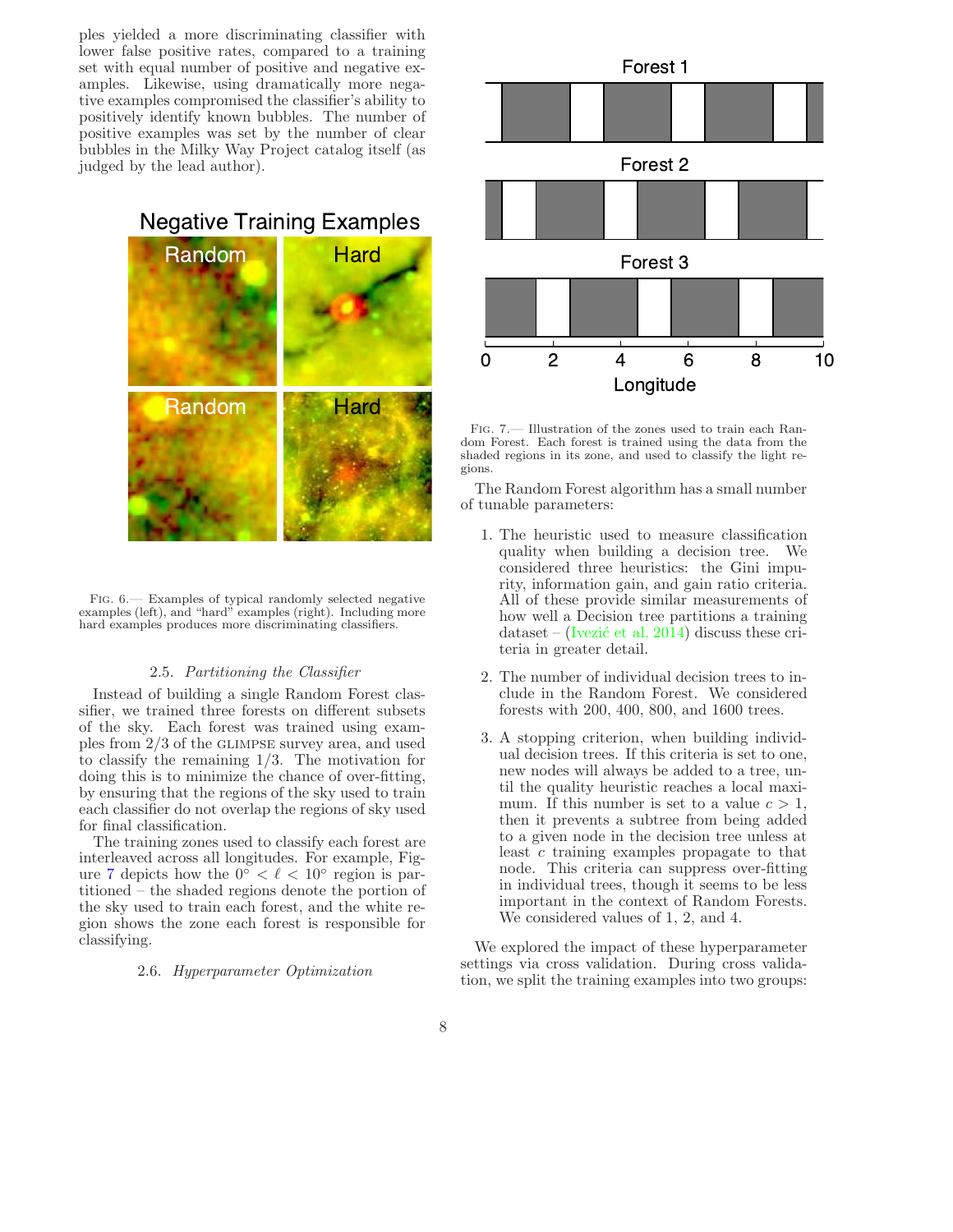ples yielded a more discriminating classifier with lower false positive rates, compared to a training set with equal number of positive and negative examples. Likewise, using dramatically more negative examples compromised the classifier's ability to positively identify known bubbles. The number of positive examples was set by the number of clear bubbles in the Milky Way Project catalog itself (as judged by the lead author).





Fig. 6.— Examples of typical randomly selected negative examples (left), and "hard" examples (right). Including more hard examples produces more discriminating classifiers.

#### <span id="page-8-0"></span>2.5. Partitioning the Classifier

<span id="page-8-2"></span>Instead of building a single Random Forest classifier, we trained three forests on different subsets of the sky. Each forest was trained using examples from 2/3 of the glimpse survey area, and used to classify the remaining 1/3. The motivation for doing this is to minimize the chance of over-fitting, by ensuring that the regions of the sky used to train each classifier do not overlap the regions of sky used for final classification.

The training zones used to classify each forest are interleaved across all longitudes. For example, Fig-ure [7](#page-8-1) depicts how the  $0^\circ < \ell < 10^\circ$  region is partitioned – the shaded regions denote the portion of the sky used to train each forest, and the white region shows the zone each forest is responsible for classifying.

#### 2.6. Hyperparameter Optimization



<span id="page-8-1"></span>Fig. 7.— Illustration of the zones used to train each Random Forest. Each forest is trained using the data from the shaded regions in its zone, and used to classify the light regions.

The Random Forest algorithm has a small number of tunable parameters:

- 1. The heuristic used to measure classification quality when building a decision tree. We considered three heuristics: the Gini impurity, information gain, and gain ratio criteria. All of these provide similar measurements of how well a Decision tree partitions a training dataset – (Ivezić et al. 2014) discuss these criteria in greater detail.
- 2. The number of individual decision trees to include in the Random Forest. We considered forests with 200, 400, 800, and 1600 trees.
- 3. A stopping criterion, when building individual decision trees. If this criteria is set to one, new nodes will always be added to a tree, until the quality heuristic reaches a local maximum. If this number is set to a value  $c > 1$ , then it prevents a subtree from being added to a given node in the decision tree unless at least c training examples propagate to that node. This criteria can suppress over-fitting in individual trees, though it seems to be less important in the context of Random Forests. We considered values of 1, 2, and 4.

We explored the impact of these hyperparameter settings via cross validation. During cross validation, we split the training examples into two groups: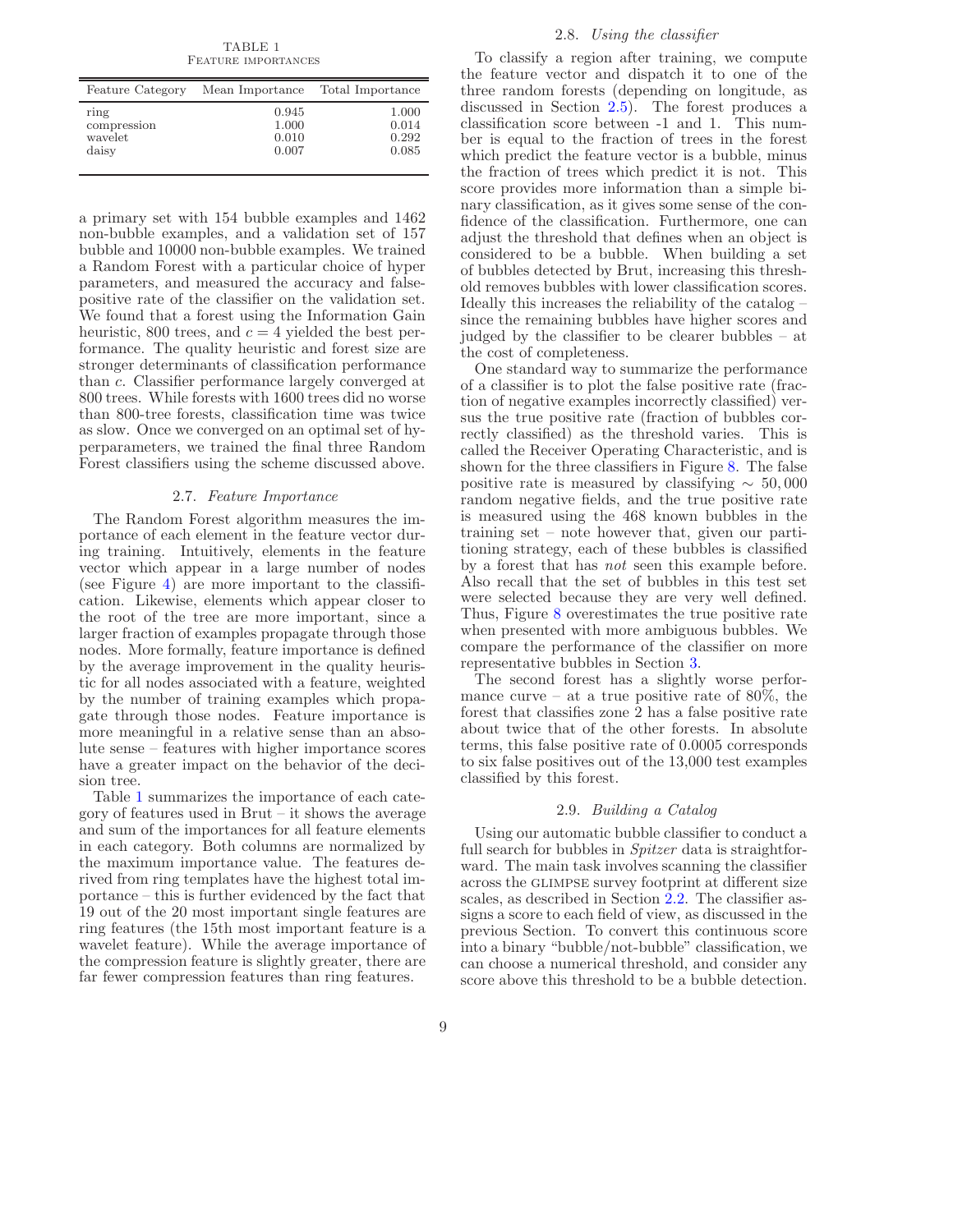TABLE 1 Feature importances

<span id="page-9-1"></span>

| Feature Category | Total Importance<br>Mean Importance |       |
|------------------|-------------------------------------|-------|
| ring             | 0.945                               | 1.000 |
| compression      | 1.000                               | 0.014 |
| wavelet          | 0.010                               | 0.292 |
| daisy            | 0.007                               | 0.085 |

a primary set with 154 bubble examples and 1462 non-bubble examples, and a validation set of 157 bubble and 10000 non-bubble examples. We trained a Random Forest with a particular choice of hyper parameters, and measured the accuracy and falsepositive rate of the classifier on the validation set. We found that a forest using the Information Gain heuristic, 800 trees, and  $c = 4$  yielded the best performance. The quality heuristic and forest size are stronger determinants of classification performance than c. Classifier performance largely converged at 800 trees. While forests with 1600 trees did no worse than 800-tree forests, classification time was twice as slow. Once we converged on an optimal set of hyperparameters, we trained the final three Random Forest classifiers using the scheme discussed above.

#### 2.7. Feature Importance

<span id="page-9-0"></span>The Random Forest algorithm measures the importance of each element in the feature vector during training. Intuitively, elements in the feature vector which appear in a large number of nodes (see Figure [4\)](#page-5-1) are more important to the classification. Likewise, elements which appear closer to the root of the tree are more important, since a larger fraction of examples propagate through those nodes. More formally, feature importance is defined by the average improvement in the quality heuristic for all nodes associated with a feature, weighted by the number of training examples which propagate through those nodes. Feature importance is more meaningful in a relative sense than an absolute sense – features with higher importance scores have a greater impact on the behavior of the decision tree.

Table [1](#page-9-1) summarizes the importance of each category of features used in Brut – it shows the average and sum of the importances for all feature elements in each category. Both columns are normalized by the maximum importance value. The features derived from ring templates have the highest total importance – this is further evidenced by the fact that 19 out of the 20 most important single features are ring features (the 15th most important feature is a wavelet feature). While the average importance of the compression feature is slightly greater, there are far fewer compression features than ring features.

#### 2.8. Using the classifier

To classify a region after training, we compute the feature vector and dispatch it to one of the three random forests (depending on longitude, as discussed in Section [2.5\)](#page-8-2). The forest produces a classification score between -1 and 1. This number is equal to the fraction of trees in the forest which predict the feature vector is a bubble, minus the fraction of trees which predict it is not. This score provides more information than a simple binary classification, as it gives some sense of the confidence of the classification. Furthermore, one can adjust the threshold that defines when an object is considered to be a bubble. When building a set of bubbles detected by Brut, increasing this threshold removes bubbles with lower classification scores. Ideally this increases the reliability of the catalog – since the remaining bubbles have higher scores and judged by the classifier to be clearer bubbles – at the cost of completeness.

One standard way to summarize the performance of a classifier is to plot the false positive rate (fraction of negative examples incorrectly classified) versus the true positive rate (fraction of bubbles correctly classified) as the threshold varies. This is called the Receiver Operating Characteristic, and is shown for the three classifiers in Figure [8.](#page-10-1) The false positive rate is measured by classifying  $\sim 50,000$ random negative fields, and the true positive rate is measured using the 468 known bubbles in the training set – note however that, given our partitioning strategy, each of these bubbles is classified by a forest that has not seen this example before. Also recall that the set of bubbles in this test set were selected because they are very well defined. Thus, Figure [8](#page-10-1) overestimates the true positive rate when presented with more ambiguous bubbles. We compare the performance of the classifier on more representative bubbles in Section [3.](#page-10-0)

The second forest has a slightly worse performance curve – at a true positive rate of  $80\%$ , the forest that classifies zone 2 has a false positive rate about twice that of the other forests. In absolute terms, this false positive rate of 0.0005 corresponds to six false positives out of the 13,000 test examples classified by this forest.

#### 2.9. Building a Catalog

<span id="page-9-2"></span>Using our automatic bubble classifier to conduct a full search for bubbles in *Spitzer* data is straightforward. The main task involves scanning the classifier across the glimpse survey footprint at different size scales, as described in Section [2.2.](#page-6-2) The classifier assigns a score to each field of view, as discussed in the previous Section. To convert this continuous score into a binary "bubble/not-bubble" classification, we can choose a numerical threshold, and consider any score above this threshold to be a bubble detection.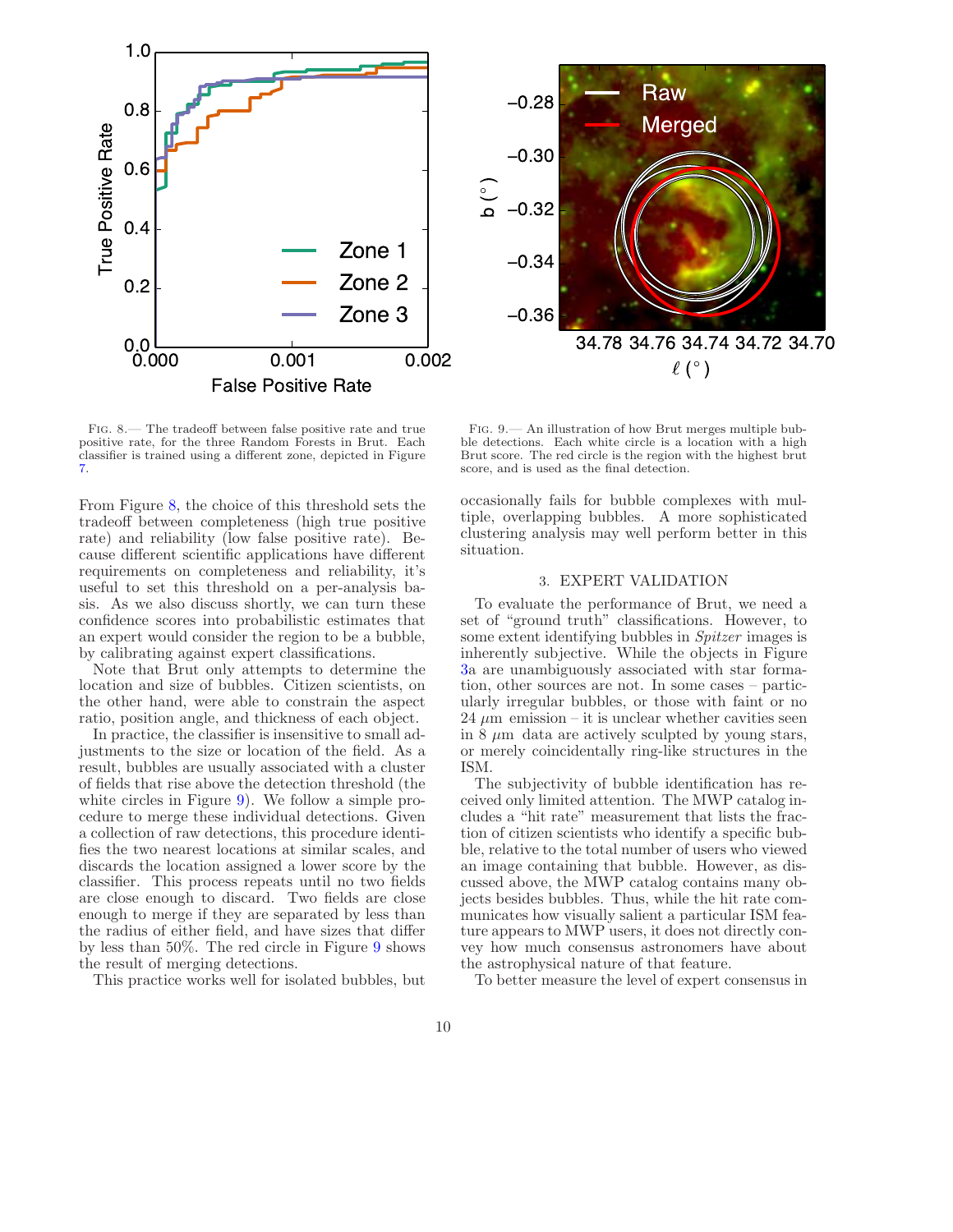



Fig. 8.— The tradeoff between false positive rate and true positive rate, for the three Random Forests in Brut. Each classifier is trained using a different zone, depicted in Figure [7.](#page-8-1)

<span id="page-10-1"></span>From Figure [8,](#page-10-1) the choice of this threshold sets the tradeoff between completeness (high true positive rate) and reliability (low false positive rate). Because different scientific applications have different requirements on completeness and reliability, it's useful to set this threshold on a per-analysis basis. As we also discuss shortly, we can turn these confidence scores into probabilistic estimates that an expert would consider the region to be a bubble, by calibrating against expert classifications.

Note that Brut only attempts to determine the location and size of bubbles. Citizen scientists, on the other hand, were able to constrain the aspect ratio, position angle, and thickness of each object.

In practice, the classifier is insensitive to small adjustments to the size or location of the field. As a result, bubbles are usually associated with a cluster of fields that rise above the detection threshold (the white circles in Figure [9\)](#page-10-2). We follow a simple procedure to merge these individual detections. Given a collection of raw detections, this procedure identifies the two nearest locations at similar scales, and discards the location assigned a lower score by the classifier. This process repeats until no two fields are close enough to discard. Two fields are close enough to merge if they are separated by less than the radius of either field, and have sizes that differ by less than 50%. The red circle in Figure [9](#page-10-2) shows the result of merging detections.

This practice works well for isolated bubbles, but

<span id="page-10-2"></span>Fig. 9.— An illustration of how Brut merges multiple bubble detections. Each white circle is a location with a high Brut score. The red circle is the region with the highest brut score, and is used as the final detection.

occasionally fails for bubble complexes with multiple, overlapping bubbles. A more sophisticated clustering analysis may well perform better in this situation.

#### 3. EXPERT VALIDATION

<span id="page-10-0"></span>To evaluate the performance of Brut, we need a set of "ground truth" classifications. However, to some extent identifying bubbles in Spitzer images is inherently subjective. While the objects in Figure [3a](#page-4-1) are unambiguously associated with star formation, other sources are not. In some cases – particularly irregular bubbles, or those with faint or no 24  $\mu$ m emission – it is unclear whether cavities seen in 8  $\mu$ m data are actively sculpted by young stars, or merely coincidentally ring-like structures in the ISM.

The subjectivity of bubble identification has received only limited attention. The MWP catalog includes a "hit rate" measurement that lists the fraction of citizen scientists who identify a specific bubble, relative to the total number of users who viewed an image containing that bubble. However, as discussed above, the MWP catalog contains many objects besides bubbles. Thus, while the hit rate communicates how visually salient a particular ISM feature appears to MWP users, it does not directly convey how much consensus astronomers have about the astrophysical nature of that feature.

To better measure the level of expert consensus in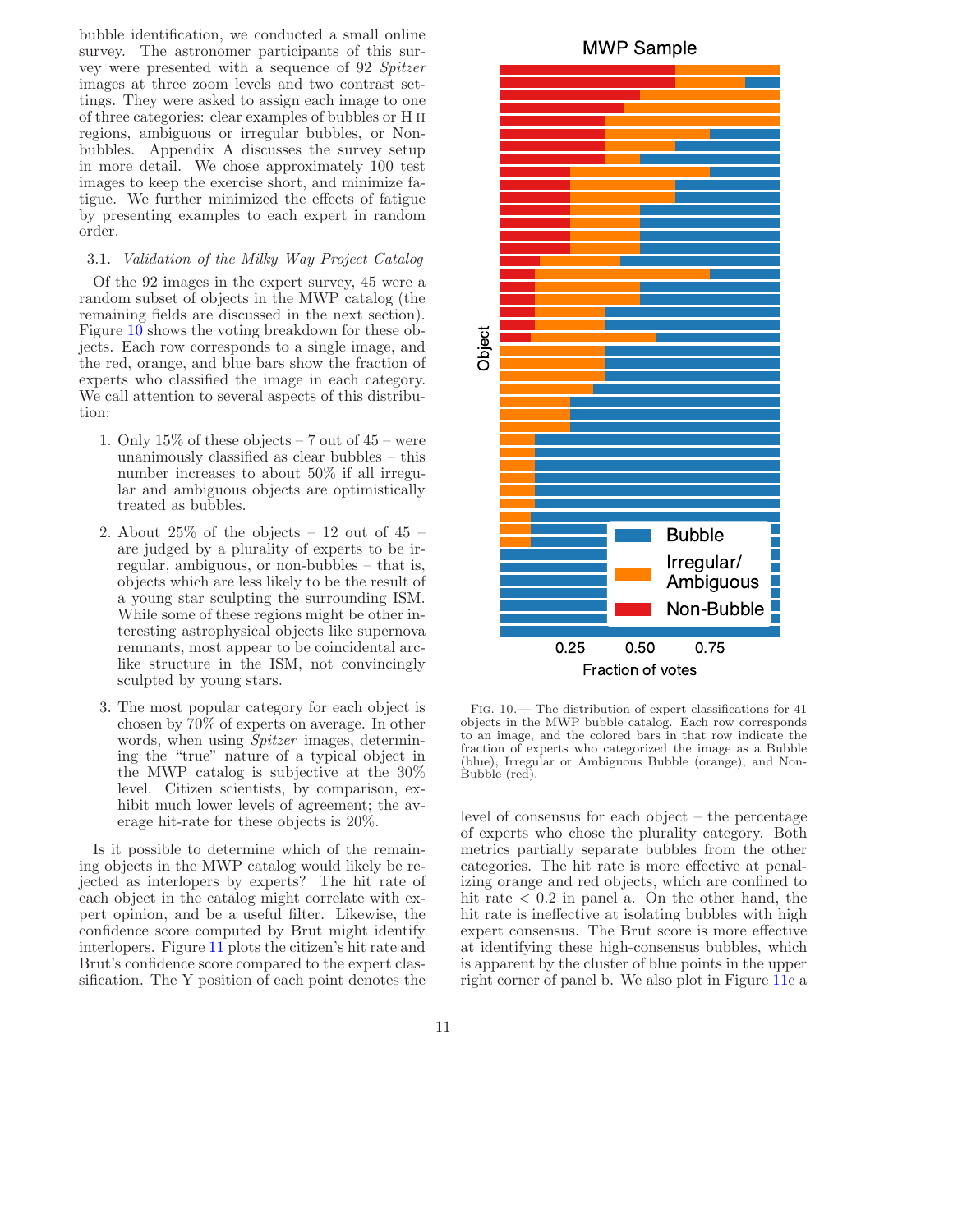bubble identification, we conducted a small online survey. The astronomer participants of this survey were presented with a sequence of 92 Spitzer images at three zoom levels and two contrast settings. They were asked to assign each image to one of three categories: clear examples of bubbles or H ii regions, ambiguous or irregular bubbles, or Nonbubbles. Appendix A discusses the survey setup in more detail. We chose approximately 100 test images to keep the exercise short, and minimize fatigue. We further minimized the effects of fatigue by presenting examples to each expert in random order.

#### <span id="page-11-1"></span>3.1. Validation of the Milky Way Project Catalog

Of the 92 images in the expert survey, 45 were a random subset of objects in the MWP catalog (the remaining fields are discussed in the next section). Figure [10](#page-11-0) shows the voting breakdown for these objects. Each row corresponds to a single image, and the red, orange, and blue bars show the fraction of experts who classified the image in each category. We call attention to several aspects of this distribution:

- 1. Only  $15\%$  of these objects 7 out of  $45$  were unanimously classified as clear bubbles – this number increases to about 50% if all irregular and ambiguous objects are optimistically treated as bubbles.
- 2. About  $25\%$  of the objects  $-12$  out of  $45$   $$ are judged by a plurality of experts to be irregular, ambiguous, or non-bubbles – that is, objects which are less likely to be the result of a young star sculpting the surrounding ISM. While some of these regions might be other interesting astrophysical objects like supernova remnants, most appear to be coincidental arclike structure in the ISM, not convincingly sculpted by young stars.
- 3. The most popular category for each object is chosen by 70% of experts on average. In other words, when using *Spitzer* images, determining the "true" nature of a typical object in the MWP catalog is subjective at the 30% level. Citizen scientists, by comparison, exhibit much lower levels of agreement; the average hit-rate for these objects is 20%.

Is it possible to determine which of the remaining objects in the MWP catalog would likely be rejected as interlopers by experts? The hit rate of each object in the catalog might correlate with expert opinion, and be a useful filter. Likewise, the confidence score computed by Brut might identify interlopers. Figure [11](#page-13-0) plots the citizen's hit rate and Brut's confidence score compared to the expert classification. The Y position of each point denotes the

**MWP Sample** 



Object

<span id="page-11-0"></span>Fraction of votes

Fig. 10.— The distribution of expert classifications for 41 objects in the MWP bubble catalog. Each row corresponds to an image, and the colored bars in that row indicate the fraction of experts who categorized the image as a Bubble (blue), Irregular or Ambiguous Bubble (orange), and Non-Bubble (red).

level of consensus for each object – the percentage of experts who chose the plurality category. Both metrics partially separate bubbles from the other categories. The hit rate is more effective at penalizing orange and red objects, which are confined to hit rate  $\langle 0.2 \rangle$  in panel a. On the other hand, the hit rate is ineffective at isolating bubbles with high expert consensus. The Brut score is more effective at identifying these high-consensus bubbles, which is apparent by the cluster of blue points in the upper right corner of panel b. We also plot in Figure [11c](#page-13-0) a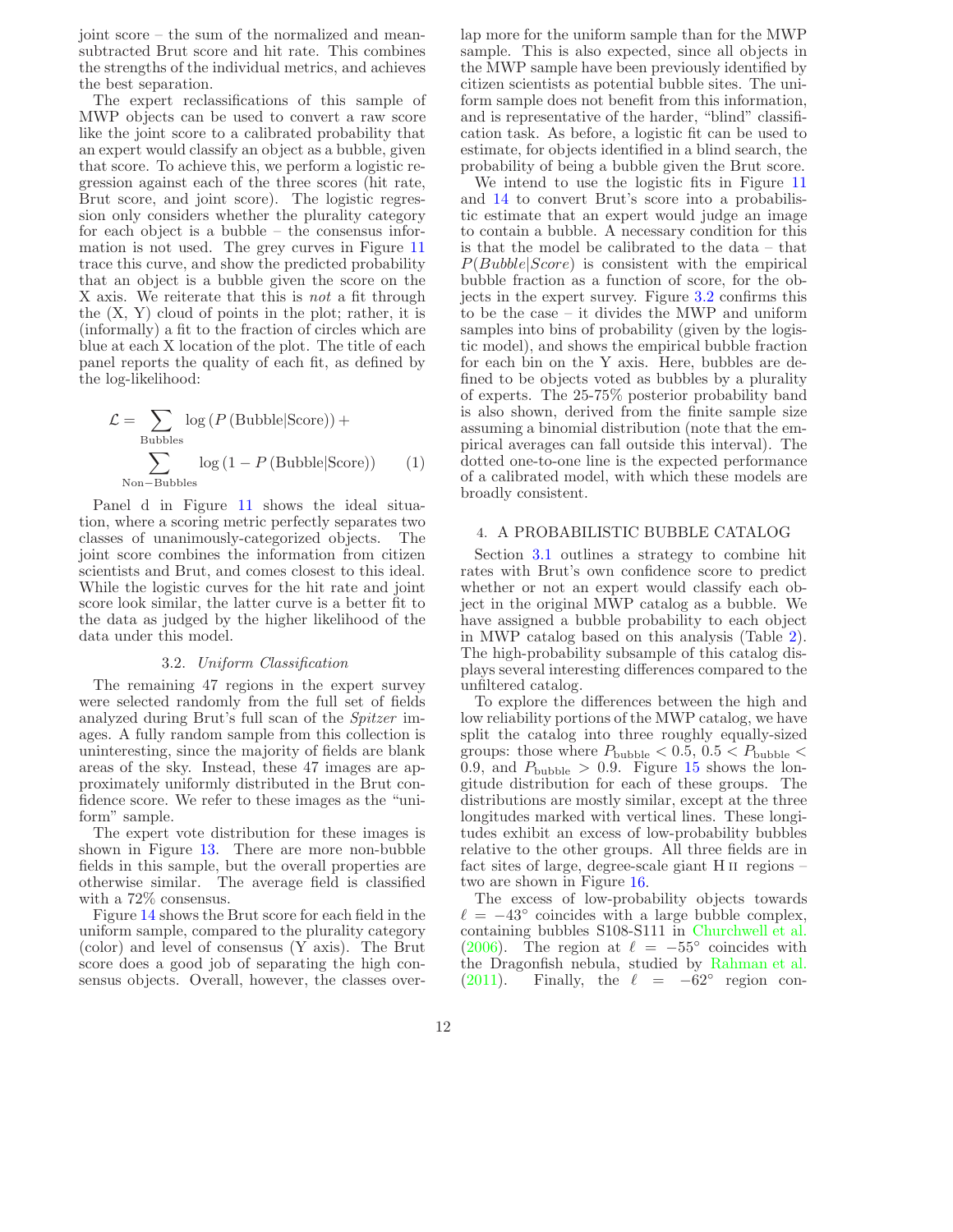joint score – the sum of the normalized and meansubtracted Brut score and hit rate. This combines the strengths of the individual metrics, and achieves the best separation.

The expert reclassifications of this sample of MWP objects can be used to convert a raw score like the joint score to a calibrated probability that an expert would classify an object as a bubble, given that score. To achieve this, we perform a logistic regression against each of the three scores (hit rate, Brut score, and joint score). The logistic regression only considers whether the plurality category for each object is a bubble – the consensus information is not used. The grey curves in Figure [11](#page-13-0) trace this curve, and show the predicted probability that an object is a bubble given the score on the X axis. We reiterate that this is *not* a fit through the  $(X, Y)$  cloud of points in the plot; rather, it is (informally) a fit to the fraction of circles which are blue at each X location of the plot. The title of each panel reports the quality of each fit, as defined by the log-likelihood:

$$
\mathcal{L} = \sum_{\text{Bubble}} \log (P(\text{Bubble}|\text{Score})) + \sum_{\text{Non-Bubble}} \log (1 - P(\text{Bubble}|\text{Score})) \tag{1}
$$

Panel d in Figure [11](#page-13-0) shows the ideal situation, where a scoring metric perfectly separates two classes of unanimously-categorized objects. The joint score combines the information from citizen scientists and Brut, and comes closest to this ideal. While the logistic curves for the hit rate and joint score look similar, the latter curve is a better fit to the data as judged by the higher likelihood of the data under this model.

#### 3.2. Uniform Classification

<span id="page-12-1"></span>The remaining 47 regions in the expert survey were selected randomly from the full set of fields analyzed during Brut's full scan of the Spitzer images. A fully random sample from this collection is uninteresting, since the majority of fields are blank areas of the sky. Instead, these 47 images are approximately uniformly distributed in the Brut confidence score. We refer to these images as the "uniform" sample.

The expert vote distribution for these images is shown in Figure [13.](#page-14-0) There are more non-bubble fields in this sample, but the overall properties are otherwise similar. The average field is classified with a 72% consensus.

Figure [14](#page-15-0) shows the Brut score for each field in the uniform sample, compared to the plurality category (color) and level of consensus (Y axis). The Brut score does a good job of separating the high consensus objects. Overall, however, the classes overlap more for the uniform sample than for the MWP sample. This is also expected, since all objects in the MWP sample have been previously identified by citizen scientists as potential bubble sites. The uniform sample does not benefit from this information, and is representative of the harder, "blind" classification task. As before, a logistic fit can be used to estimate, for objects identified in a blind search, the probability of being a bubble given the Brut score.

We intend to use the logistic fits in Figure [11](#page-13-0) and [14](#page-15-0) to convert Brut's score into a probabilistic estimate that an expert would judge an image to contain a bubble. A necessary condition for this is that the model be calibrated to the data – that  $P(Bubble|Score)$  is consistent with the empirical bubble fraction as a function of score, for the objects in the expert survey. Figure [3.2](#page-12-1) confirms this to be the case – it divides the MWP and uniform samples into bins of probability (given by the logistic model), and shows the empirical bubble fraction for each bin on the Y axis. Here, bubbles are defined to be objects voted as bubbles by a plurality of experts. The 25-75% posterior probability band is also shown, derived from the finite sample size assuming a binomial distribution (note that the empirical averages can fall outside this interval). The dotted one-to-one line is the expected performance of a calibrated model, with which these models are broadly consistent.

#### <span id="page-12-2"></span><span id="page-12-0"></span>4. A PROBABILISTIC BUBBLE CATALOG

Section [3.1](#page-11-1) outlines a strategy to combine hit rates with Brut's own confidence score to predict whether or not an expert would classify each object in the original MWP catalog as a bubble. We have assigned a bubble probability to each object in MWP catalog based on this analysis (Table [2\)](#page-23-24). The high-probability subsample of this catalog displays several interesting differences compared to the unfiltered catalog.

To explore the differences between the high and low reliability portions of the MWP catalog, we have split the catalog into three roughly equally-sized groups: those where  $P_{\text{bubble}} < 0.5, 0.5 < P_{\text{bubble}} <$ 0.9, and  $P_{\text{bubble}} > 0.9$ . Figure [15](#page-16-0) shows the longitude distribution for each of these groups. The distributions are mostly similar, except at the three longitudes marked with vertical lines. These longitudes exhibit an excess of low-probability bubbles relative to the other groups. All three fields are in fact sites of large, degree-scale giant H ii regions – two are shown in Figure [16.](#page-17-0)

The excess of low-probability objects towards  $\ell = -43^{\circ}$  coincides with a large bubble complex, containing bubbles S108-S111 in [Churchwell et al.](#page-22-1) [\(2006\)](#page-22-1). The region at  $\ell = -55^{\circ}$  coincides with the Dragonfish nebula, studied by [Rahman et al.](#page-23-25)  $(2011)$ . Finally, the  $\ell = -62^\circ$  region con-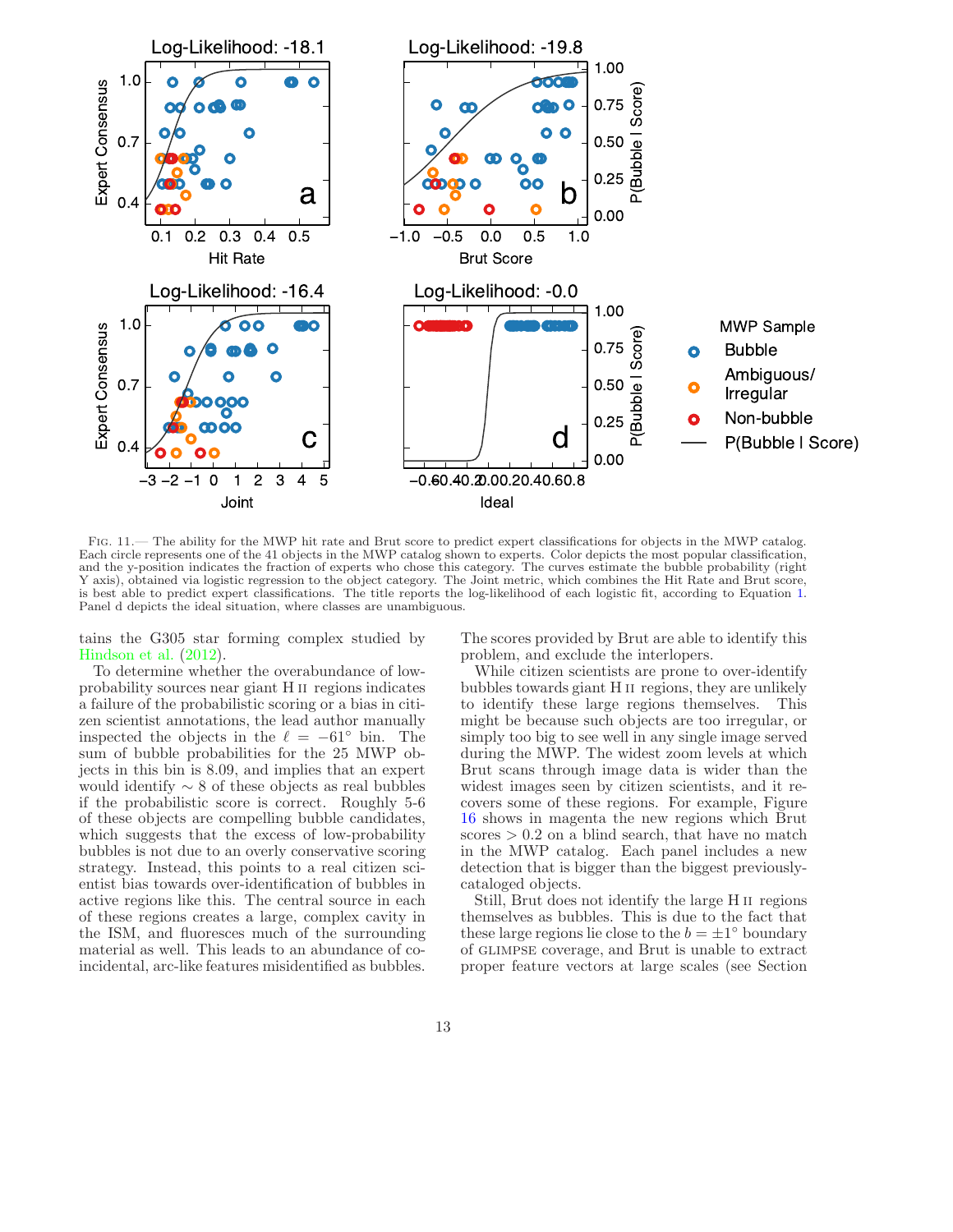

<span id="page-13-0"></span>Fig. 11.— The ability for the MWP hit rate and Brut score to predict expert classifications for objects in the MWP catalog. Each circle represents one of the 41 objects in the MWP catalog shown to experts. Color depicts the most popular classification, and the y-position indicates the fraction of experts who chose this category. The curves estimate the bubble probability (right Y axis), obtained via logistic regression to the object category. The Joint metric, which combines the Hit Rate and Brut score, is best able to predict expert classifications. The title reports the log-likelihood of each logistic fit, according to Equation [1.](#page-12-2) Panel d depicts the ideal situation, where classes are unambiguous.

tains the G305 star forming complex studied by [Hindson et al.](#page-23-26) [\(2012](#page-23-26)).

To determine whether the overabundance of lowprobability sources near giant H ii regions indicates a failure of the probabilistic scoring or a bias in citizen scientist annotations, the lead author manually inspected the objects in the  $\ell = -61^\circ$  bin. The sum of bubble probabilities for the 25 MWP objects in this bin is 8.09, and implies that an expert would identify  $\sim 8$  of these objects as real bubbles if the probabilistic score is correct. Roughly 5-6 of these objects are compelling bubble candidates, which suggests that the excess of low-probability bubbles is not due to an overly conservative scoring strategy. Instead, this points to a real citizen scientist bias towards over-identification of bubbles in active regions like this. The central source in each of these regions creates a large, complex cavity in the ISM, and fluoresces much of the surrounding material as well. This leads to an abundance of coincidental, arc-like features misidentified as bubbles.

The scores provided by Brut are able to identify this problem, and exclude the interlopers.

While citizen scientists are prone to over-identify bubbles towards giant H ii regions, they are unlikely to identify these large regions themselves. This might be because such objects are too irregular, or simply too big to see well in any single image served during the MWP. The widest zoom levels at which Brut scans through image data is wider than the widest images seen by citizen scientists, and it recovers some of these regions. For example, Figure [16](#page-17-0) shows in magenta the new regions which Brut  $\text{scores} > 0.2$  on a blind search, that have no match in the MWP catalog. Each panel includes a new detection that is bigger than the biggest previouslycataloged objects.

Still, Brut does not identify the large H ii regions themselves as bubbles. This is due to the fact that these large regions lie close to the  $b = \pm 1^{\circ}$  boundary of glimpse coverage, and Brut is unable to extract proper feature vectors at large scales (see Section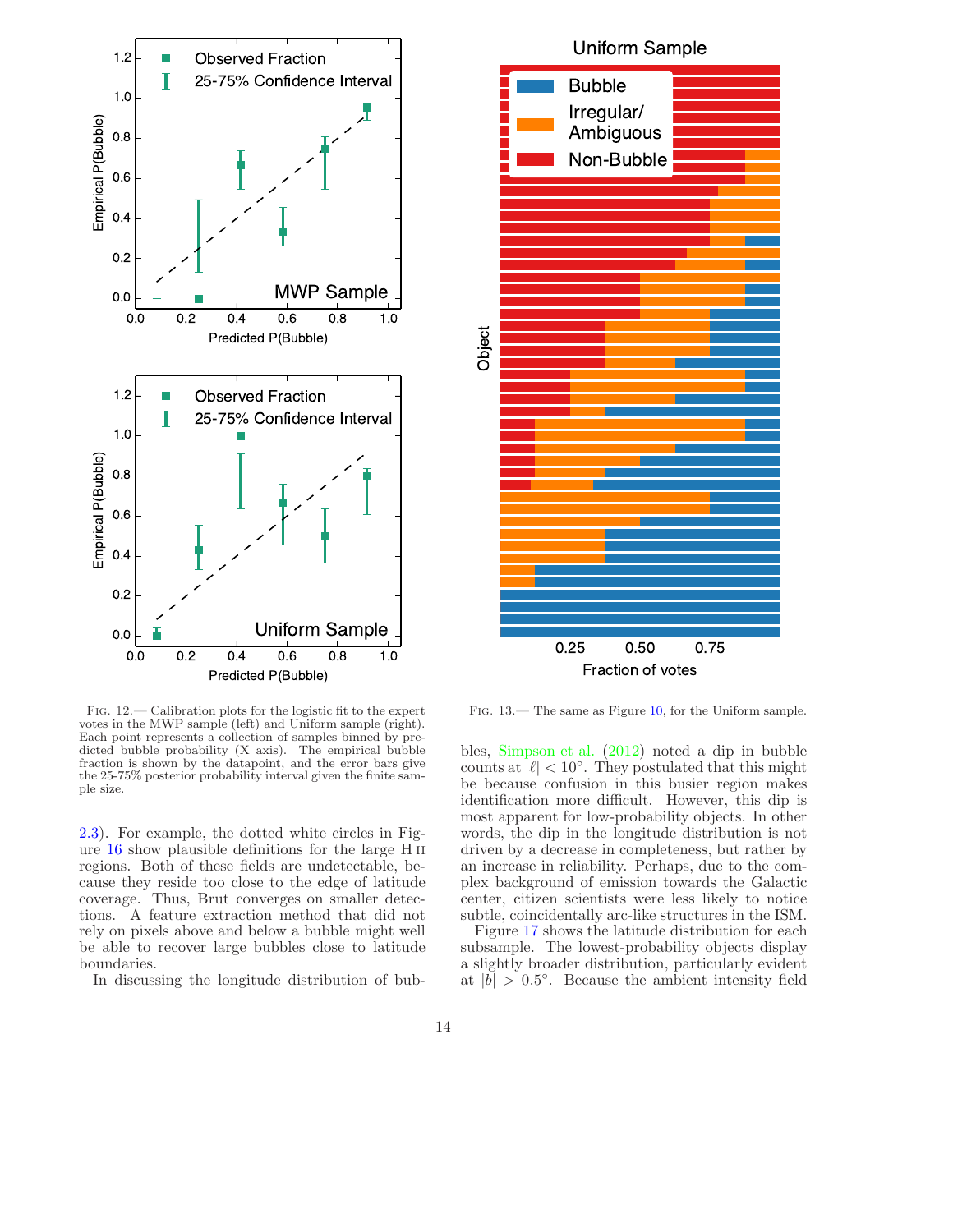

Fig. 12.— Calibration plots for the logistic fit to the expert votes in the MWP sample (left) and Uniform sample (right). Each point represents a collection of samples binned by predicted bubble probability (X axis). The empirical bubble fraction is shown by the datapoint, and the error bars give the 25-75% posterior probability interval given the finite sample size.

[2.3\)](#page-7-1). For example, the dotted white circles in Figure [16](#page-17-0) show plausible definitions for the large H ii regions. Both of these fields are undetectable, because they reside too close to the edge of latitude coverage. Thus, Brut converges on smaller detections. A feature extraction method that did not rely on pixels above and below a bubble might well be able to recover large bubbles close to latitude boundaries.

In discussing the longitude distribution of bub-



<span id="page-14-0"></span>Fig. 13.— The same as Figure [10,](#page-11-0) for the Uniform sample.

bles, [Simpson et al.](#page-23-7) [\(2012\)](#page-23-7) noted a dip in bubble counts at  $|\ell| < 10^{\circ}$ . They postulated that this might be because confusion in this busier region makes identification more difficult. However, this dip is most apparent for low-probability objects. In other words, the dip in the longitude distribution is not driven by a decrease in completeness, but rather by an increase in reliability. Perhaps, due to the complex background of emission towards the Galactic center, citizen scientists were less likely to notice subtle, coincidentally arc-like structures in the ISM.

Figure [17](#page-18-0) shows the latitude distribution for each subsample. The lowest-probability objects display a slightly broader distribution, particularly evident at  $|b| > 0.5^\circ$ . Because the ambient intensity field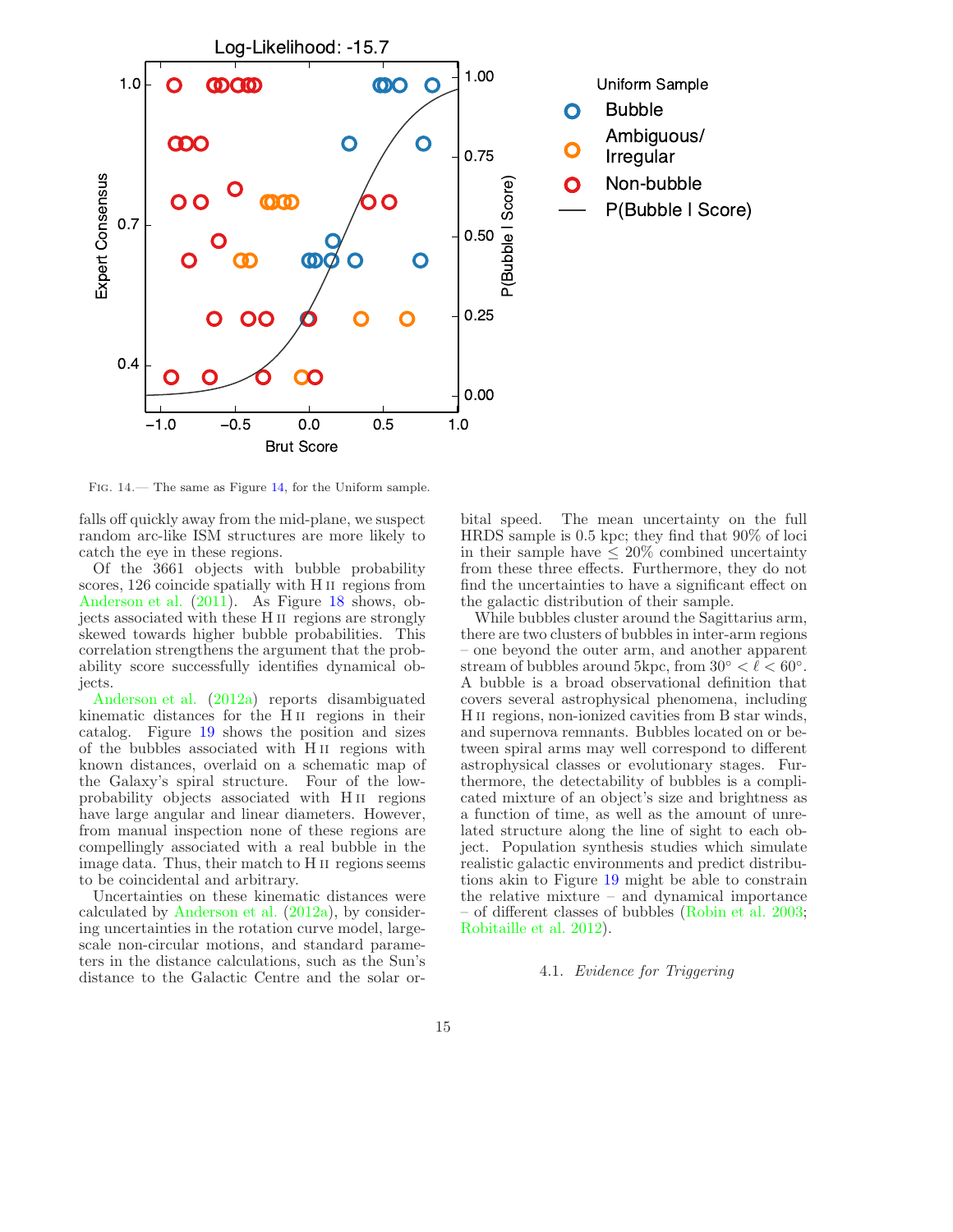

<span id="page-15-0"></span>Fig. 14.— The same as Figure [14,](#page-15-0) for the Uniform sample.

falls off quickly away from the mid-plane, we suspect random arc-like ISM structures are more likely to catch the eye in these regions.

Of the 3661 objects with bubble probability scores, 126 coincide spatially with H II regions from [Anderson et al.](#page-22-11) [\(2011](#page-22-11)). As Figure [18](#page-18-1) shows, objects associated with these H ii regions are strongly skewed towards higher bubble probabilities. This correlation strengthens the argument that the probability score successfully identifies dynamical objects.

[Anderson et al.](#page-22-12) [\(2012a](#page-22-12)) reports disambiguated kinematic distances for the H ii regions in their catalog. Figure [19](#page-18-2) shows the position and sizes of the bubbles associated with H ii regions with known distances, overlaid on a schematic map of the Galaxy's spiral structure. Four of the lowprobability objects associated with H<sub>II</sub> regions have large angular and linear diameters. However, from manual inspection none of these regions are compellingly associated with a real bubble in the image data. Thus, their match to H ii regions seems to be coincidental and arbitrary.

Uncertainties on these kinematic distances were calculated by [Anderson et al.](#page-22-12) [\(2012a\)](#page-22-12), by considering uncertainties in the rotation curve model, largescale non-circular motions, and standard parameters in the distance calculations, such as the Sun's distance to the Galactic Centre and the solar orbital speed. The mean uncertainty on the full HRDS sample is 0.5 kpc; they find that 90% of loci in their sample have  $\leq 20\%$  combined uncertainty from these three effects. Furthermore, they do not find the uncertainties to have a significant effect on the galactic distribution of their sample.

While bubbles cluster around the Sagittarius arm, there are two clusters of bubbles in inter-arm regions – one beyond the outer arm, and another apparent stream of bubbles around 5kpc, from  $30^{\circ} < l < 60^{\circ}$ . A bubble is a broad observational definition that covers several astrophysical phenomena, including H<sub>II</sub> regions, non-ionized cavities from B star winds, and supernova remnants. Bubbles located on or between spiral arms may well correspond to different astrophysical classes or evolutionary stages. Furthermore, the detectability of bubbles is a complicated mixture of an object's size and brightness as a function of time, as well as the amount of unrelated structure along the line of sight to each object. Population synthesis studies which simulate realistic galactic environments and predict distributions akin to Figure [19](#page-18-2) might be able to constrain the relative mixture – and dynamical importance – of different classes of bubbles [\(Robin et al. 2003](#page-23-27); [Robitaille et al. 2012\)](#page-23-28).

#### 4.1. Evidence for Triggering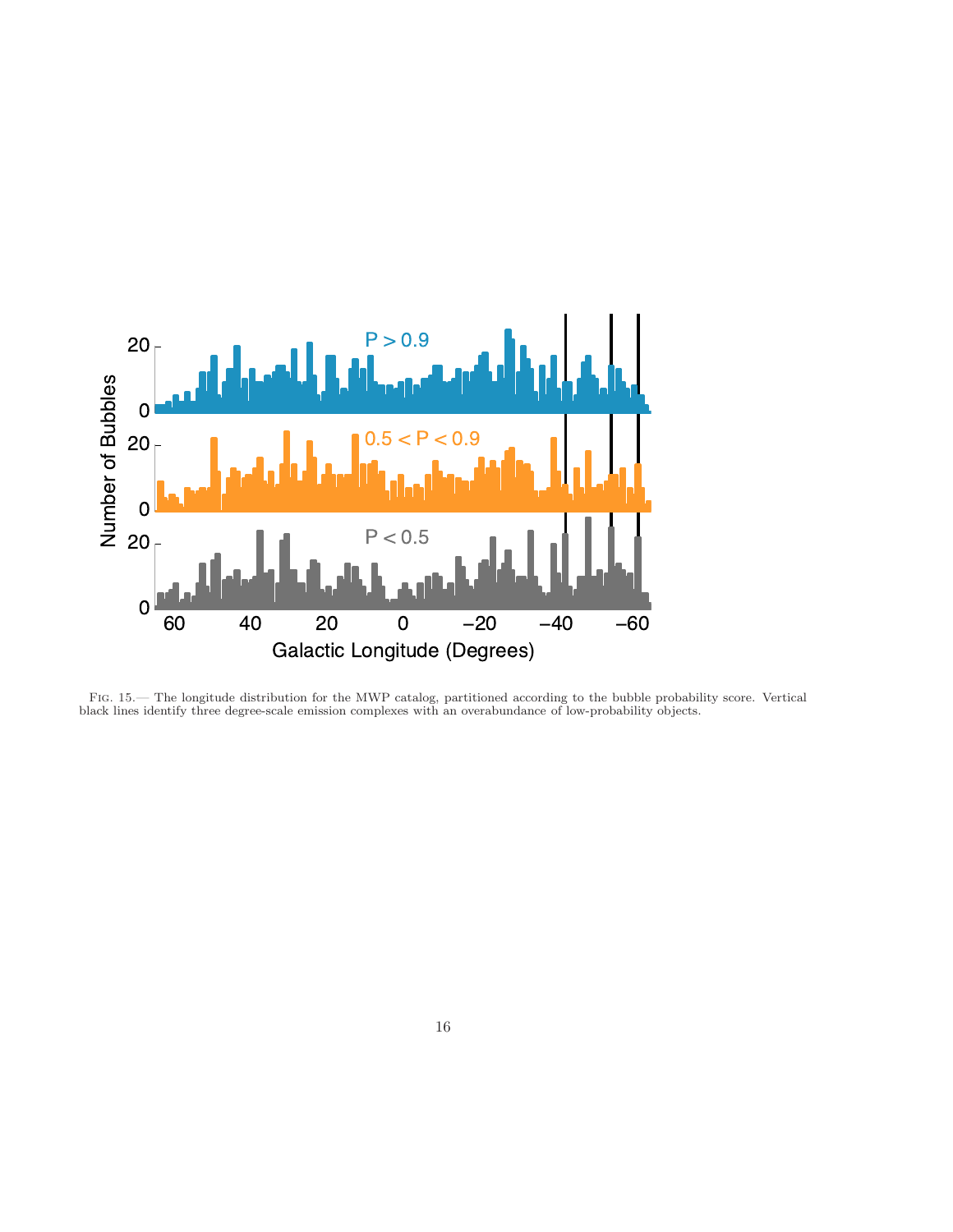

<span id="page-16-0"></span>Fig. 15.— The longitude distribution for the MWP catalog, partitioned according to the bubble probability score. Vertical black lines identify three degree-scale emission complexes with an overabundance of low-probability objects.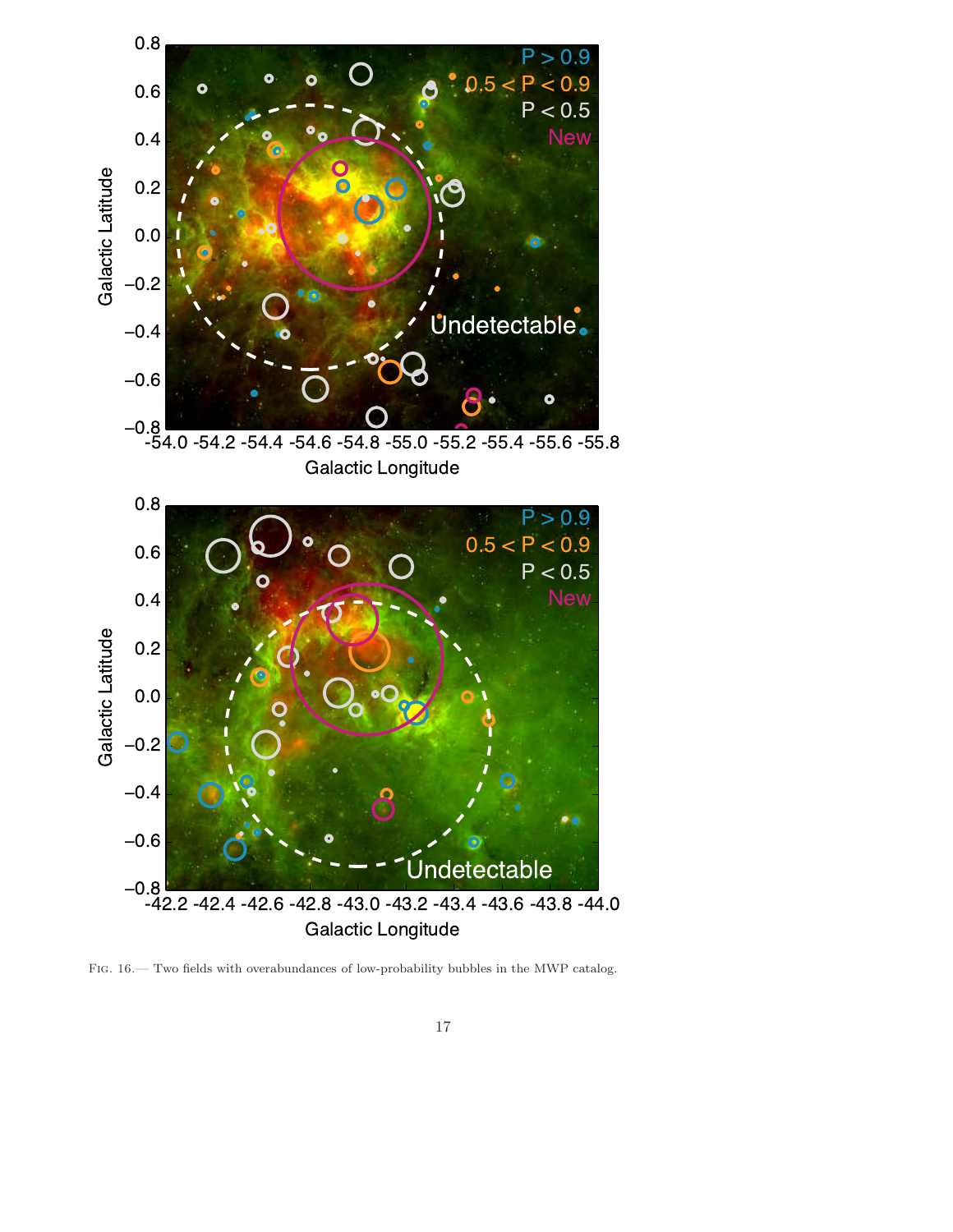

<span id="page-17-0"></span>FIG. 16.— Two fields with overabundances of low-probability bubbles in the MWP catalog.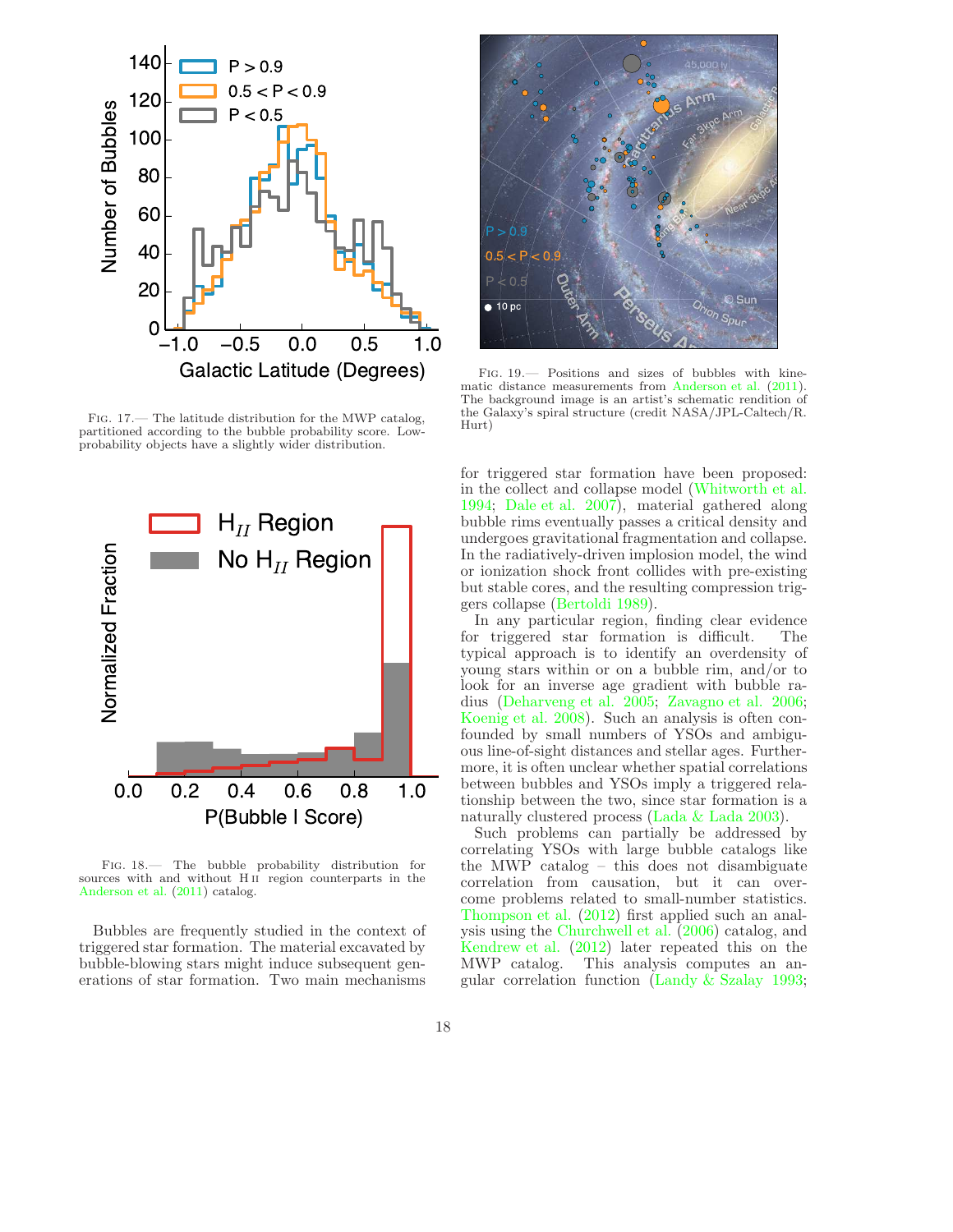

<span id="page-18-0"></span>Fig. 17.— The latitude distribution for the MWP catalog, partitioned according to the bubble probability score. Lowprobability objects have a slightly wider distribution.



<span id="page-18-1"></span>Fig. 18.— The bubble probability distribution for sources with and without H ii region counterparts in the [Anderson et al.](#page-22-11) [\(2011](#page-22-11)) catalog.

Bubbles are frequently studied in the context of triggered star formation. The material excavated by bubble-blowing stars might induce subsequent generations of star formation. Two main mechanisms

![](_page_18_Picture_5.jpeg)

Fig. 19.— Positions and sizes of bubbles with kinematic distance measurements from [Anderson et al.](#page-22-11) [\(2011](#page-22-11)). The background image is an artist's schematic rendition of the Galaxy's spiral structure (credit NASA/JPL-Caltech/R. Hurt)

<span id="page-18-2"></span>for triggered star formation have been proposed: in the collect and collapse model [\(Whitworth et al.](#page-23-29) [1994;](#page-23-29) [Dale et al. 2007](#page-22-13)), material gathered along bubble rims eventually passes a critical density and undergoes gravitational fragmentation and collapse. In the radiatively-driven implosion model, the wind or ionization shock front collides with pre-existing but stable cores, and the resulting compression triggers collapse [\(Bertoldi 1989](#page-22-14)).

In any particular region, finding clear evidence for triggered star formation is difficult. The typical approach is to identify an overdensity of young stars within or on a bubble rim, and/or to look for an inverse age gradient with bubble radius [\(Deharveng et al. 2005;](#page-23-30) [Zavagno et al. 2006](#page-23-31); [Koenig et al. 2008\)](#page-23-32). Such an analysis is often confounded by small numbers of YSOs and ambiguous line-of-sight distances and stellar ages. Furthermore, it is often unclear whether spatial correlations between bubbles and YSOs imply a triggered relationship between the two, since star formation is a naturally clustered process [\(Lada & Lada 2003\)](#page-23-33).

Such problems can partially be addressed by correlating YSOs with large bubble catalogs like the MWP catalog – this does not disambiguate correlation from causation, but it can overcome problems related to small-number statistics. [Thompson et al.](#page-23-34) [\(2012](#page-23-34)) first applied such an analysis using the [Churchwell et al.](#page-22-1) [\(2006\)](#page-22-1) catalog, and [Kendrew et al.](#page-23-35) [\(2012\)](#page-23-35) later repeated this on the MWP catalog. This analysis computes an angular correlation function [\(Landy & Szalay 1993](#page-23-36);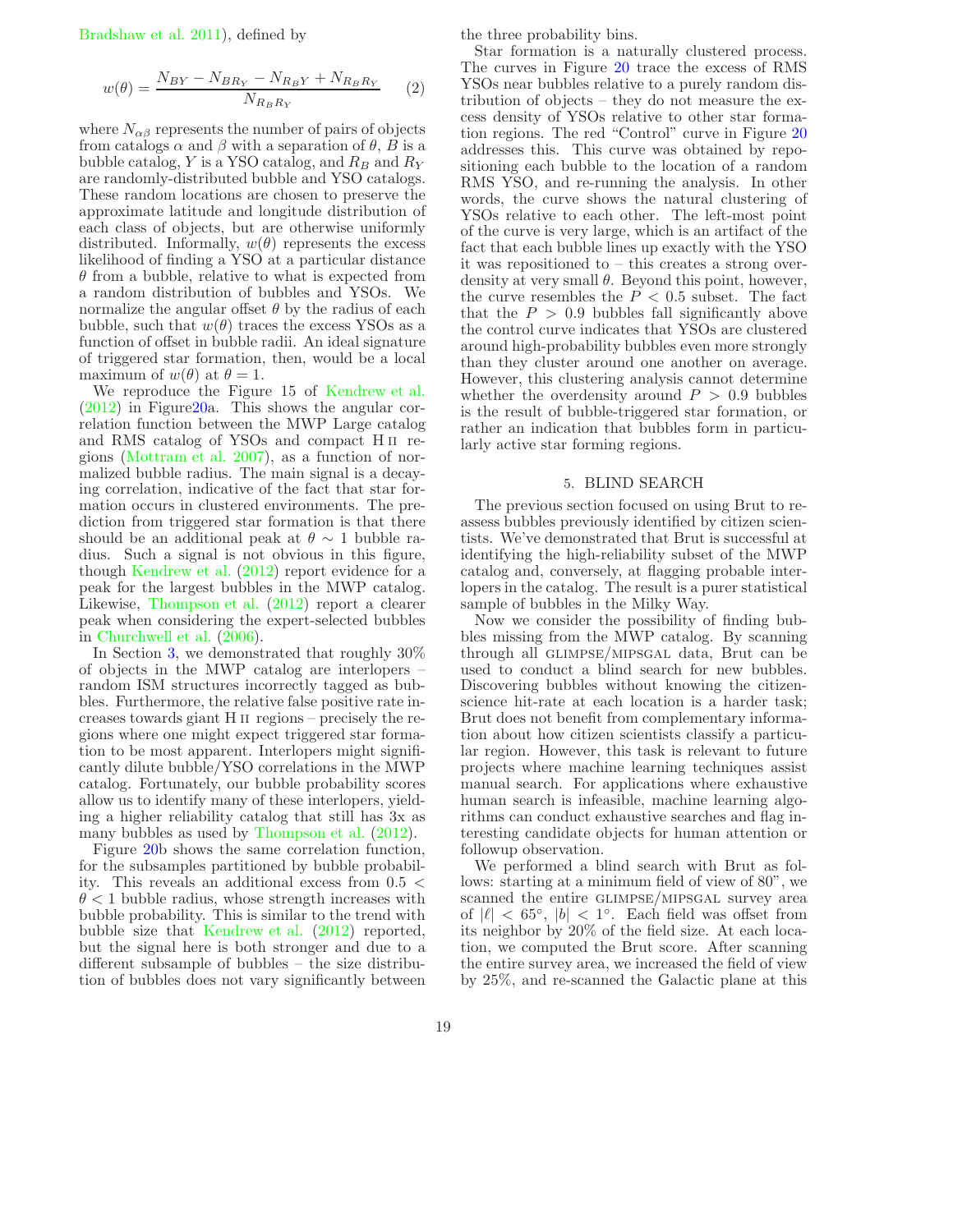[Bradshaw et al. 2011\)](#page-22-15), defined by

<span id="page-19-1"></span>
$$
w(\theta) = \frac{N_{BY} - N_{BR_Y} - N_{R_BY} + N_{R_BR_Y}}{N_{R_BR_Y}} \tag{2}
$$

where  $N_{\alpha\beta}$  represents the number of pairs of objects from catalogs  $\alpha$  and  $\beta$  with a separation of  $\theta$ ,  $B$  is a bubble catalog, Y is a YSO catalog, and  $R_B$  and  $R_Y$ are randomly-distributed bubble and YSO catalogs. These random locations are chosen to preserve the approximate latitude and longitude distribution of each class of objects, but are otherwise uniformly distributed. Informally,  $w(\theta)$  represents the excess likelihood of finding a YSO at a particular distance  $\theta$  from a bubble, relative to what is expected from a random distribution of bubbles and YSOs. We normalize the angular offset  $\theta$  by the radius of each bubble, such that  $w(\theta)$  traces the excess YSOs as a function of offset in bubble radii. An ideal signature of triggered star formation, then, would be a local maximum of  $w(\theta)$  at  $\theta = 1$ .

We reproduce the Figure 15 of [Kendrew et al.](#page-23-35) [\(2012\)](#page-23-35) in Figur[e20a](#page-20-0). This shows the angular correlation function between the MWP Large catalog and RMS catalog of YSOs and compact H ii regions [\(Mottram et al. 2007\)](#page-23-37), as a function of normalized bubble radius. The main signal is a decaying correlation, indicative of the fact that star formation occurs in clustered environments. The prediction from triggered star formation is that there should be an additional peak at  $\theta \sim 1$  bubble radius. Such a signal is not obvious in this figure, though [Kendrew et al.](#page-23-35) [\(2012\)](#page-23-35) report evidence for a peak for the largest bubbles in the MWP catalog. Likewise, [Thompson et al.](#page-23-34) [\(2012](#page-23-34)) report a clearer peak when considering the expert-selected bubbles in [Churchwell et al.](#page-22-1) [\(2006](#page-22-1)).

In Section [3,](#page-10-0) we demonstrated that roughly 30% of objects in the MWP catalog are interlopers – random ISM structures incorrectly tagged as bubbles. Furthermore, the relative false positive rate increases towards giant H ii regions – precisely the regions where one might expect triggered star formation to be most apparent. Interlopers might significantly dilute bubble/YSO correlations in the MWP catalog. Fortunately, our bubble probability scores allow us to identify many of these interlopers, yielding a higher reliability catalog that still has 3x as many bubbles as used by [Thompson et al.](#page-23-34) [\(2012\)](#page-23-34).

Figure [20b](#page-20-0) shows the same correlation function, for the subsamples partitioned by bubble probability. This reveals an additional excess from 0.5 <  $\theta$  < 1 bubble radius, whose strength increases with bubble probability. This is similar to the trend with bubble size that [Kendrew et al.](#page-23-35) [\(2012\)](#page-23-35) reported, but the signal here is both stronger and due to a different subsample of bubbles – the size distribution of bubbles does not vary significantly between

the three probability bins.

Star formation is a naturally clustered process. The curves in Figure [20](#page-20-0) trace the excess of RMS YSOs near bubbles relative to a purely random distribution of objects – they do not measure the excess density of YSOs relative to other star formation regions. The red "Control" curve in Figure [20](#page-20-0) addresses this. This curve was obtained by repositioning each bubble to the location of a random RMS YSO, and re-running the analysis. In other words, the curve shows the natural clustering of YSOs relative to each other. The left-most point of the curve is very large, which is an artifact of the fact that each bubble lines up exactly with the YSO it was repositioned to – this creates a strong overdensity at very small  $\theta$ . Beyond this point, however, the curve resembles the  $P < 0.5$  subset. The fact that the  $P > 0.9$  bubbles fall significantly above the control curve indicates that YSOs are clustered around high-probability bubbles even more strongly than they cluster around one another on average. However, this clustering analysis cannot determine whether the overdensity around  $P > 0.9$  bubbles is the result of bubble-triggered star formation, or rather an indication that bubbles form in particularly active star forming regions.

#### 5. BLIND SEARCH

<span id="page-19-0"></span>The previous section focused on using Brut to reassess bubbles previously identified by citizen scientists. We've demonstrated that Brut is successful at identifying the high-reliability subset of the MWP catalog and, conversely, at flagging probable interlopers in the catalog. The result is a purer statistical sample of bubbles in the Milky Way.

Now we consider the possibility of finding bubbles missing from the MWP catalog. By scanning through all glimpse/mipsgal data, Brut can be used to conduct a blind search for new bubbles. Discovering bubbles without knowing the citizenscience hit-rate at each location is a harder task; Brut does not benefit from complementary information about how citizen scientists classify a particular region. However, this task is relevant to future projects where machine learning techniques assist manual search. For applications where exhaustive human search is infeasible, machine learning algorithms can conduct exhaustive searches and flag interesting candidate objects for human attention or followup observation.

We performed a blind search with Brut as follows: starting at a minimum field of view of 80", we scanned the entire GLIMPSE/MIPSGAL survey area of  $|\ell| < 65^{\circ}$ ,  $|b| < 1^{\circ}$ . Each field was offset from its neighbor by 20% of the field size. At each location, we computed the Brut score. After scanning the entire survey area, we increased the field of view by 25%, and re-scanned the Galactic plane at this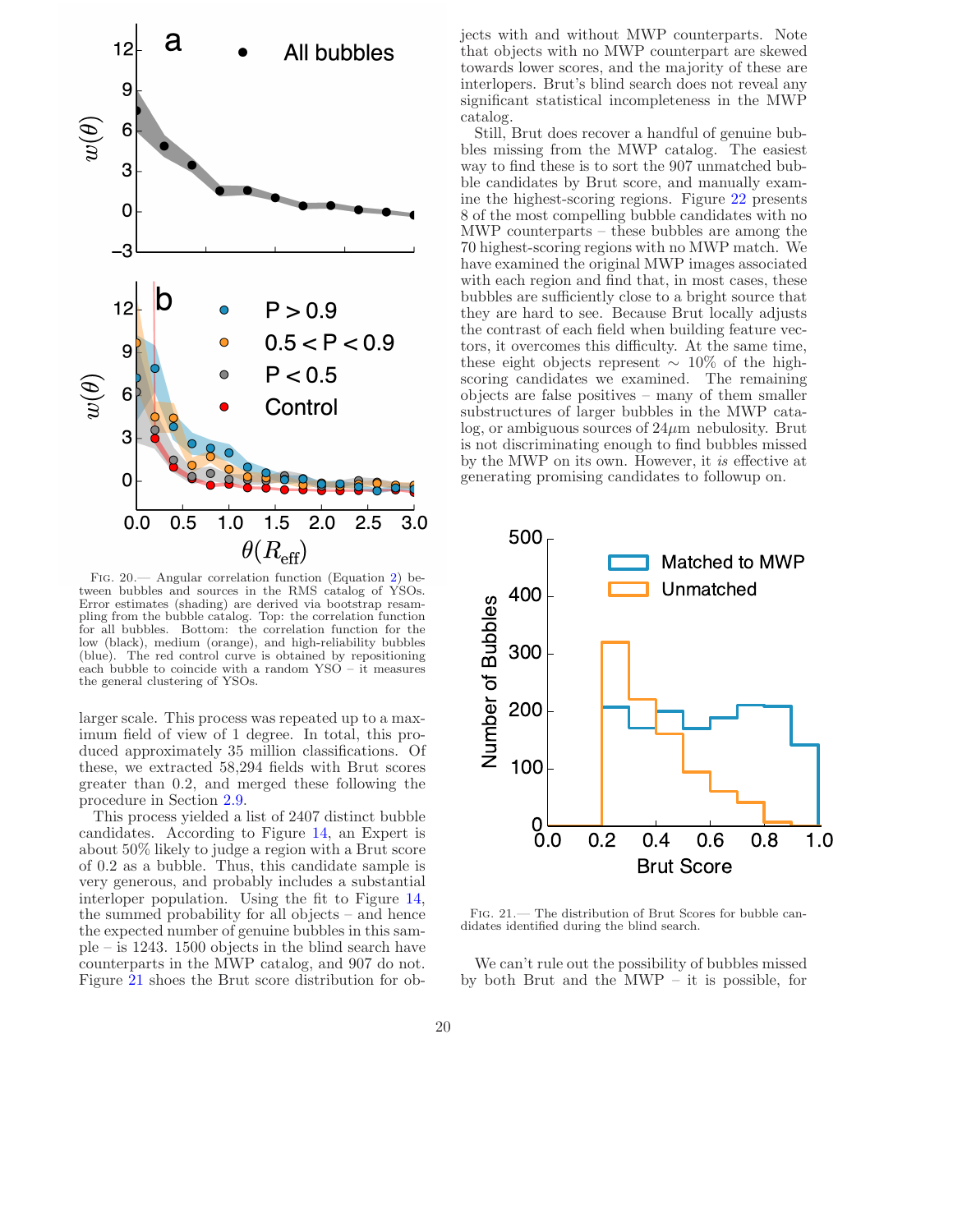![](_page_20_Figure_0.jpeg)

<span id="page-20-0"></span>Fig. 20.— Angular correlation function (Equation [2\)](#page-19-1) between bubbles and sources in the RMS catalog of YSOs. Error estimates (shading) are derived via bootstrap resampling from the bubble catalog. Top: the correlation function for all bubbles. Bottom: the correlation function for the low (black), medium (orange), and high-reliability bubbles (blue). The red control curve is obtained by repositioning each bubble to coincide with a random YSO – it measures the general clustering of YSOs.

larger scale. This process was repeated up to a maximum field of view of 1 degree. In total, this produced approximately 35 million classifications. Of these, we extracted 58,294 fields with Brut scores greater than 0.2, and merged these following the procedure in Section [2.9.](#page-9-2)

This process yielded a list of 2407 distinct bubble candidates. According to Figure [14,](#page-15-0) an Expert is about 50% likely to judge a region with a Brut score of 0.2 as a bubble. Thus, this candidate sample is very generous, and probably includes a substantial interloper population. Using the fit to Figure [14,](#page-15-0) the summed probability for all objects – and hence the expected number of genuine bubbles in this sample – is 1243. 1500 objects in the blind search have counterparts in the MWP catalog, and 907 do not. Figure [21](#page-20-1) shoes the Brut score distribution for objects with and without MWP counterparts. Note that objects with no MWP counterpart are skewed towards lower scores, and the majority of these are interlopers. Brut's blind search does not reveal any significant statistical incompleteness in the MWP catalog.

Still, Brut does recover a handful of genuine bubbles missing from the MWP catalog. The easiest way to find these is to sort the 907 unmatched bubble candidates by Brut score, and manually examine the highest-scoring regions. Figure [22](#page-22-16) presents 8 of the most compelling bubble candidates with no MWP counterparts – these bubbles are among the 70 highest-scoring regions with no MWP match. We have examined the original MWP images associated with each region and find that, in most cases, these bubbles are sufficiently close to a bright source that they are hard to see. Because Brut locally adjusts the contrast of each field when building feature vectors, it overcomes this difficulty. At the same time, these eight objects represent  $\sim 10\%$  of the highscoring candidates we examined. The remaining objects are false positives – many of them smaller substructures of larger bubbles in the MWP catalog, or ambiguous sources of  $24\mu$ m nebulosity. Brut is not discriminating enough to find bubbles missed by the MWP on its own. However, it is effective at generating promising candidates to followup on.

![](_page_20_Figure_6.jpeg)

<span id="page-20-1"></span>Fig. 21.— The distribution of Brut Scores for bubble candidates identified during the blind search.

We can't rule out the possibility of bubbles missed by both Brut and the MWP – it is possible, for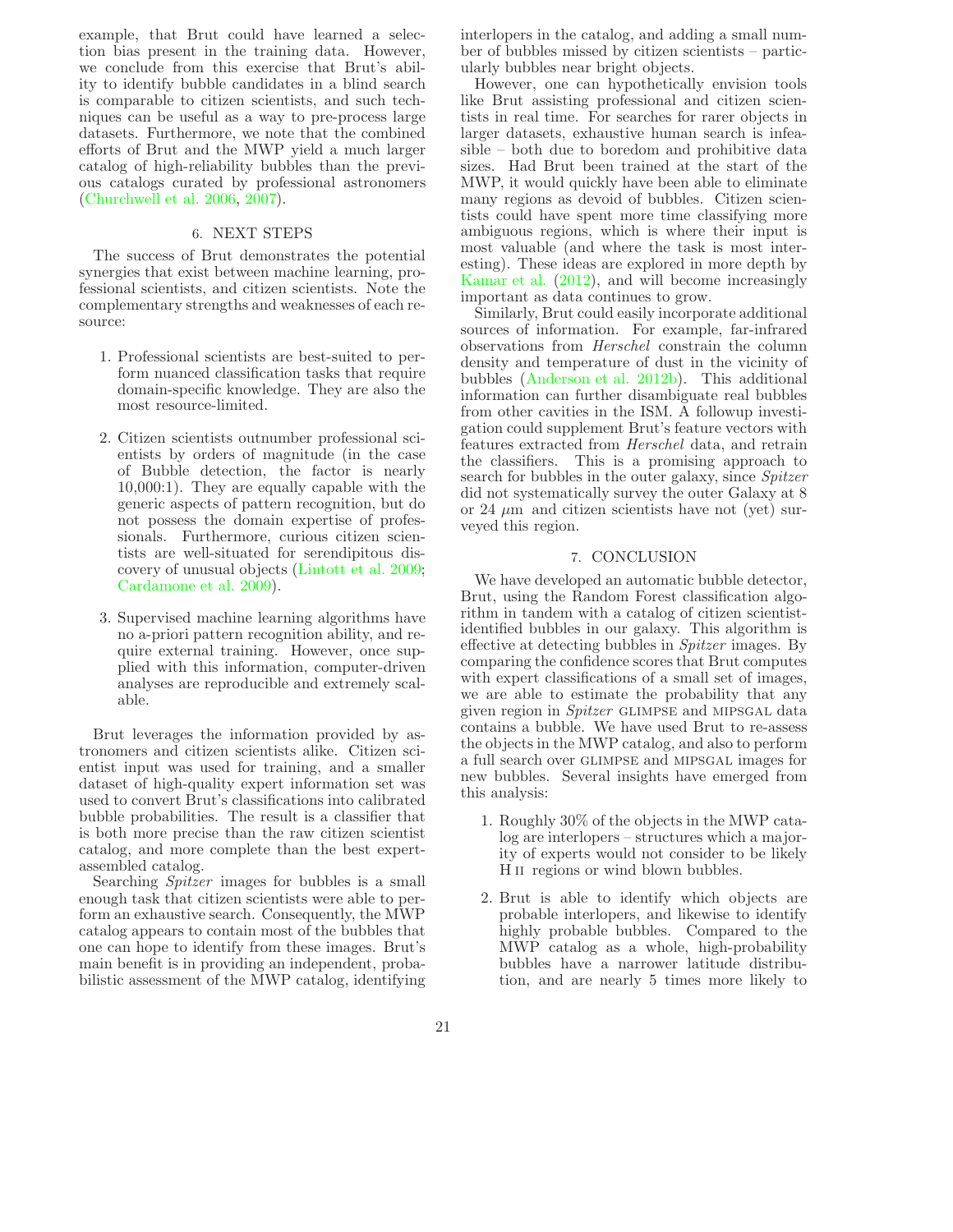example, that Brut could have learned a selection bias present in the training data. However, we conclude from this exercise that Brut's ability to identify bubble candidates in a blind search is comparable to citizen scientists, and such techniques can be useful as a way to pre-process large datasets. Furthermore, we note that the combined efforts of Brut and the MWP yield a much larger catalog of high-reliability bubbles than the previous catalogs curated by professional astronomers [\(Churchwell et al. 2006,](#page-22-1) [2007\)](#page-22-2).

#### 6. NEXT STEPS

<span id="page-21-0"></span>The success of Brut demonstrates the potential synergies that exist between machine learning, professional scientists, and citizen scientists. Note the complementary strengths and weaknesses of each resource:

- 1. Professional scientists are best-suited to perform nuanced classification tasks that require domain-specific knowledge. They are also the most resource-limited.
- 2. Citizen scientists outnumber professional scientists by orders of magnitude (in the case of Bubble detection, the factor is nearly 10,000:1). They are equally capable with the generic aspects of pattern recognition, but do not possess the domain expertise of professionals. Furthermore, curious citizen scientists are well-situated for serendipitous discovery of unusual objects [\(Lintott et al. 2009;](#page-23-38) [Cardamone et al. 2009](#page-22-17)).
- 3. Supervised machine learning algorithms have no a-priori pattern recognition ability, and require external training. However, once supplied with this information, computer-driven analyses are reproducible and extremely scalable.

Brut leverages the information provided by astronomers and citizen scientists alike. Citizen scientist input was used for training, and a smaller dataset of high-quality expert information set was used to convert Brut's classifications into calibrated bubble probabilities. The result is a classifier that is both more precise than the raw citizen scientist catalog, and more complete than the best expertassembled catalog.

Searching Spitzer images for bubbles is a small enough task that citizen scientists were able to perform an exhaustive search. Consequently, the MWP catalog appears to contain most of the bubbles that one can hope to identify from these images. Brut's main benefit is in providing an independent, probabilistic assessment of the MWP catalog, identifying

interlopers in the catalog, and adding a small number of bubbles missed by citizen scientists – particularly bubbles near bright objects.

However, one can hypothetically envision tools like Brut assisting professional and citizen scientists in real time. For searches for rarer objects in larger datasets, exhaustive human search is infeasible – both due to boredom and prohibitive data sizes. Had Brut been trained at the start of the MWP, it would quickly have been able to eliminate many regions as devoid of bubbles. Citizen scientists could have spent more time classifying more ambiguous regions, which is where their input is most valuable (and where the task is most interesting). These ideas are explored in more depth by [Kamar et al.](#page-23-39) [\(2012\)](#page-23-39), and will become increasingly important as data continues to grow.

Similarly, Brut could easily incorporate additional sources of information. For example, far-infrared observations from Herschel constrain the column density and temperature of dust in the vicinity of bubbles [\(Anderson et al. 2012b](#page-22-18)). This additional information can further disambiguate real bubbles from other cavities in the ISM. A followup investigation could supplement Brut's feature vectors with features extracted from Herschel data, and retrain the classifiers. This is a promising approach to search for bubbles in the outer galaxy, since Spitzer did not systematically survey the outer Galaxy at 8 or 24  $\mu$ m and citizen scientists have not (yet) surveyed this region.

#### 7. CONCLUSION

We have developed an automatic bubble detector, Brut, using the Random Forest classification algorithm in tandem with a catalog of citizen scientistidentified bubbles in our galaxy. This algorithm is effective at detecting bubbles in Spitzer images. By comparing the confidence scores that Brut computes with expert classifications of a small set of images, we are able to estimate the probability that any given region in Spitzer GLIMPSE and MIPSGAL data contains a bubble. We have used Brut to re-assess the objects in the MWP catalog, and also to perform a full search over glimpse and mipsgal images for new bubbles. Several insights have emerged from this analysis:

- 1. Roughly 30% of the objects in the MWP catalog are interlopers – structures which a majority of experts would not consider to be likely H<sub>II</sub> regions or wind blown bubbles.
- 2. Brut is able to identify which objects are probable interlopers, and likewise to identify highly probable bubbles. Compared to the MWP catalog as a whole, high-probability bubbles have a narrower latitude distribution, and are nearly 5 times more likely to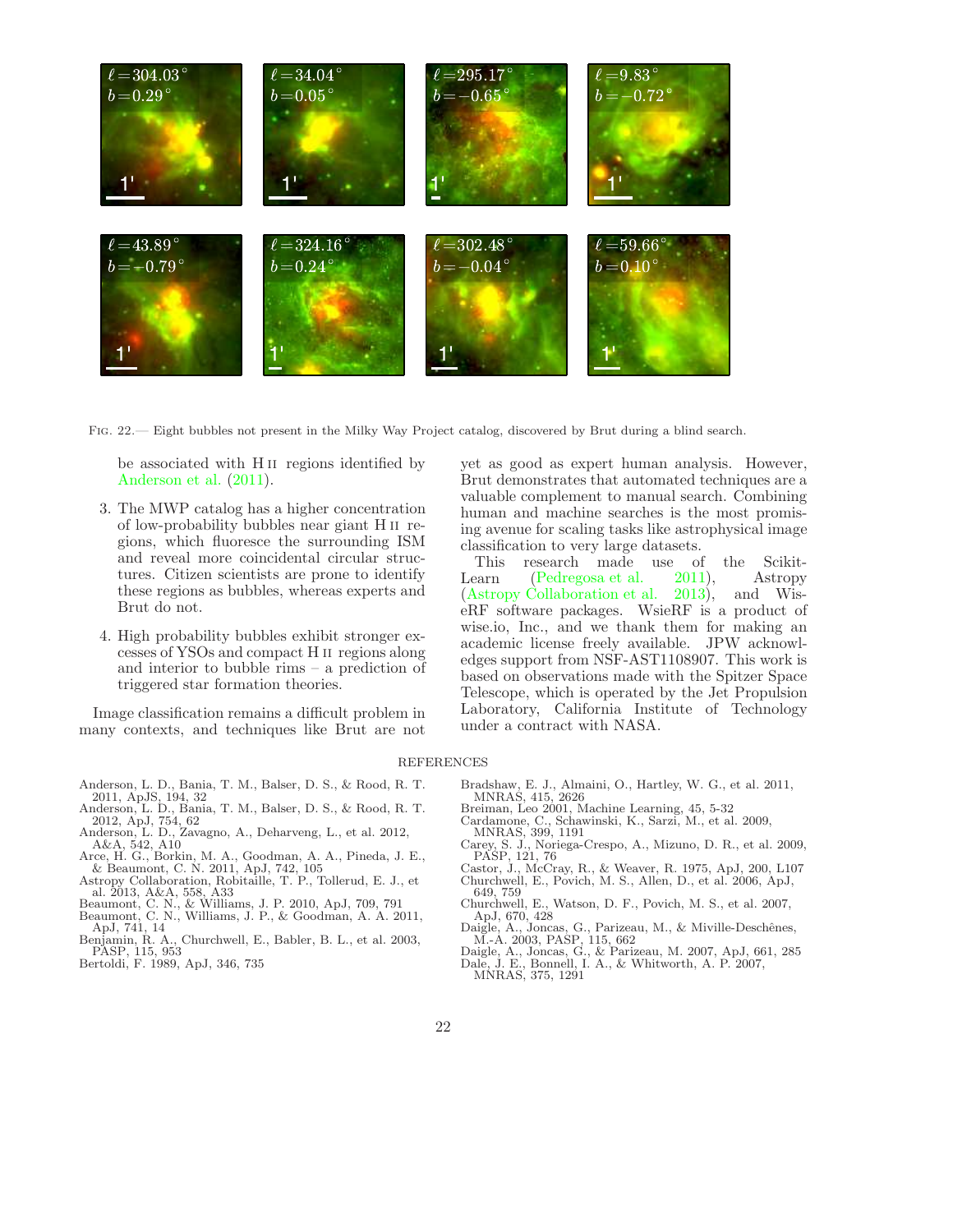![](_page_22_Picture_0.jpeg)

Fig. 22.— Eight bubbles not present in the Milky Way Project catalog, discovered by Brut during a blind search.

<span id="page-22-16"></span>be associated with H ii regions identified by [Anderson et al.](#page-22-11) [\(2011\)](#page-22-11).

- 3. The MWP catalog has a higher concentration of low-probability bubbles near giant H ii regions, which fluoresce the surrounding ISM and reveal more coincidental circular structures. Citizen scientists are prone to identify these regions as bubbles, whereas experts and Brut do not.
- 4. High probability bubbles exhibit stronger excesses of YSOs and compact H ii regions along and interior to bubble rims – a prediction of triggered star formation theories.

Image classification remains a difficult problem in many contexts, and techniques like Brut are not

#### REFERENCES

- <span id="page-22-11"></span>Anderson, L. D., Bania, T. M., Balser, D. S., & Rood, R. T. 2011, ApJS, 194, 32 Anderson, L. D., Bania, T. M., Balser, D. S., & Rood, R. T.
- <span id="page-22-12"></span>2012, ApJ, 754, 62 Anderson, L. D., Zavagno, A., Deharveng, L., et al. 2012,
- <span id="page-22-18"></span>A&A, 542, A10
- <span id="page-22-0"></span>Arce, H. G., Borkin, M. A., Goodman, A. A., Pineda, J. E.,<br>& Beaumont, C. N. 2011, ApJ, 742, 105<br>Astropy Collaboration, Robitaille, T. P., Tollerud, E. J., et<br>al. 2013, A&A, 558, A33
- <span id="page-22-19"></span>
- <span id="page-22-4"></span>Beaumont, C. N., & Williams, J. P. 2010, ApJ, 709, 791 Beaumont, C. N., Williams, J. P., & Goodman, A. A. 2011,
- <span id="page-22-7"></span>ApJ, 741, 14
- <span id="page-22-5"></span>Benjamin, R. A., Churchwell, E., Babler, B. L., et al. 2003, PASP, 115, 953
- <span id="page-22-14"></span>Bertoldi, F. 1989, ApJ, 346, 735

yet as good as expert human analysis. However, Brut demonstrates that automated techniques are a valuable complement to manual search. Combining human and machine searches is the most promising avenue for scaling tasks like astrophysical image classification to very large datasets.<br>This research made use of

research made use of the Scikit-Learn [\(Pedregosa et al. 2011\)](#page-23-40), Astropy [\(Astropy Collaboration et al. 2013](#page-22-19)), and WiseRF software packages. WsieRF is a product of wise.io, Inc., and we thank them for making an academic license freely available. JPW acknowledges support from NSF-AST1108907. This work is based on observations made with the Spitzer Space Telescope, which is operated by the Jet Propulsion Laboratory, California Institute of Technology under a contract with NASA.

- <span id="page-22-17"></span><span id="page-22-15"></span><span id="page-22-13"></span><span id="page-22-10"></span><span id="page-22-9"></span><span id="page-22-8"></span><span id="page-22-6"></span><span id="page-22-3"></span><span id="page-22-2"></span><span id="page-22-1"></span>
	- Bradshaw, E. J., Almaini, O., Hartley, W. G., et al. 2011, MNRAS, 415, 2626
	- Breiman, Leo 2001, Machine Learning, 45, 5-32 Cardamone, C., Schawinski, K., Sarzi, M., et al. 2009,
	- MNRAS, 399, 1191
	- Carey, S. J., Noriega-Crespo, A., Mizuno, D. R., et al. 2009, PASP, 121, 76 Castor, J., McCray, R., & Weaver, R. 1975, ApJ, 200, L107 Churchwell, E., Povich, M. S., Allen, D., et al. 2006, ApJ,
	- 649, 759
	- Churchwell, E., Watson, D. F., Povich, M. S., et al. 2007,
	-
	- ApJ, 670, 428<br>Daigle, A., Joncas, G., Parizeau, M., & Miville-Deschênes,<br>M.-A. 2003, PASP, 115, 662<br>Daigle, A., Joncas, G., & Parizeau, M. 2007, ApJ, 661, 285<br>Dale, J. E., Bonnell, I. A., & Whitworth, A. P. 2007,<br>MNRAS, 37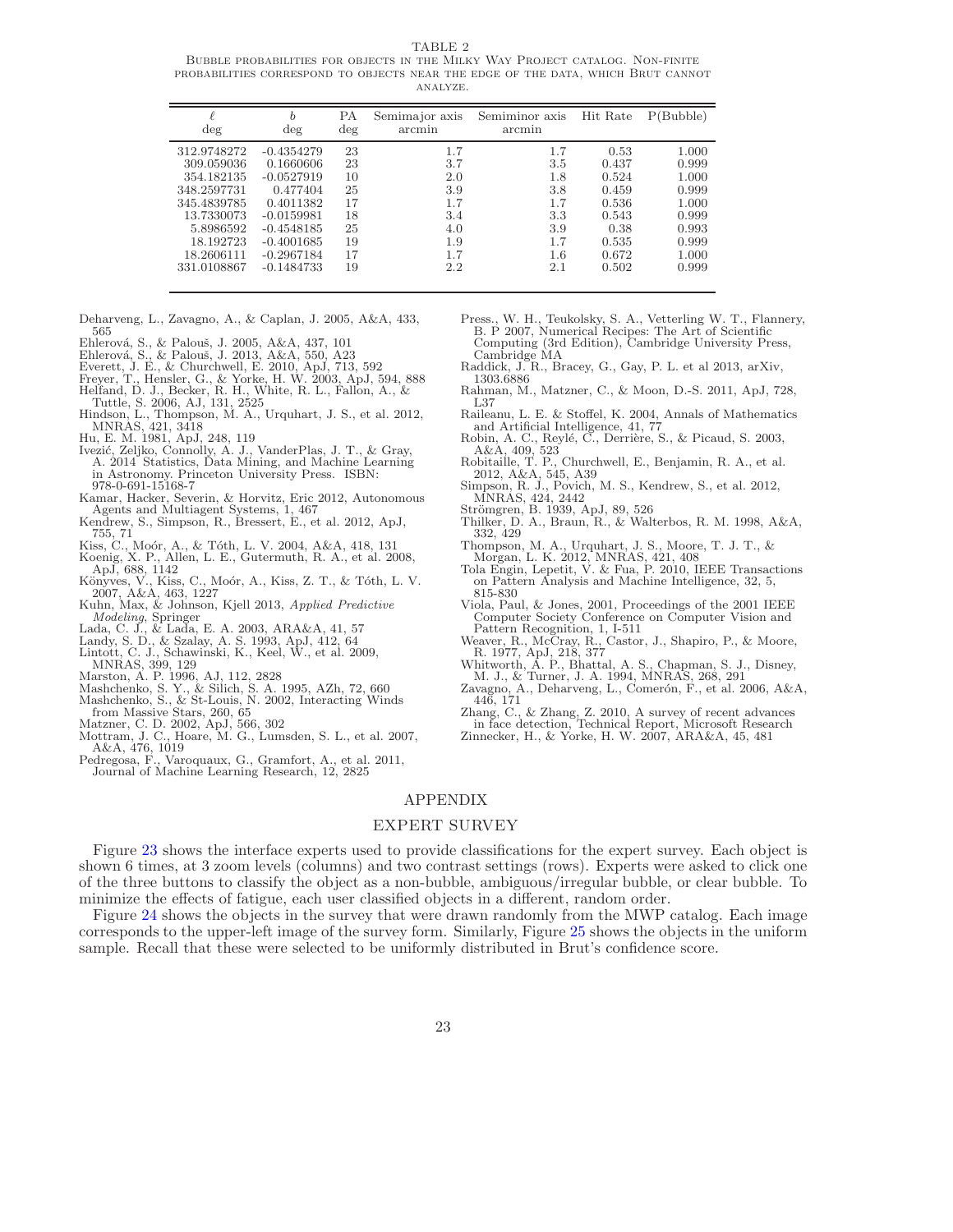TABLE 2

<span id="page-23-24"></span>Bubble probabilities for objects in the Milky Way Project catalog. Non-finite probabilities correspond to objects near the edge of the data, which Brut cannot analyze.

| ł<br>$\deg$ | b<br>deg     | РA<br>$\deg$ | Semimajor axis<br>arcmin | Semiminor axis<br>arcmin | Hit Rate | P(Bubble) |
|-------------|--------------|--------------|--------------------------|--------------------------|----------|-----------|
| 312.9748272 | $-0.4354279$ | 23           | 1.7                      | 1.7                      | 0.53     | 1.000     |
| 309.059036  | 0.1660606    | 23           | 3.7                      | 3.5                      | 0.437    | 0.999     |
| 354.182135  | $-0.0527919$ | 10           | 2.0                      | 1.8                      | 0.524    | 1.000     |
| 348.2597731 | 0.477404     | 25           | 3.9                      | 3.8                      | 0.459    | 0.999     |
| 345.4839785 | 0.4011382    | 17           | 1.7                      | 1.7                      | 0.536    | 1.000     |
| 13.7330073  | $-0.0159981$ | 18           | 3.4                      | 3.3                      | 0.543    | 0.999     |
| 5.8986592   | $-0.4548185$ | 25           | 4.0                      | 3.9                      | 0.38     | 0.993     |
| 18.192723   | $-0.4001685$ | 19           | 1.9                      | 1.7                      | 0.535    | 0.999     |
| 18.2606111  | $-0.2967184$ | 17           | 1.7                      | 1.6                      | 0.672    | 1.000     |
| 331.0108867 | $-0.1484733$ | 19           | 2.2                      | 2.1                      | 0.502    | 0.999     |

- <span id="page-23-30"></span>Deharveng, L., Zavagno, A., & Caplan, J. 2005, A&A, 433, 565
- 
- <span id="page-23-18"></span>
- <span id="page-23-12"></span><span id="page-23-10"></span>
- <span id="page-23-17"></span>Ehlerová, S., & Palouš, J. 2005, A&A, 437, 101<br>Ehlerová, S., & Palouš, J. 2013, A&A, 550, A23<br>Everett, J. E., & Churchwell, E. 2010, ApJ, 713, 592<br>Freyer, T., Hensler, G., & Yorke, H. W. 2003, ApJ, 594, 888<br>Helfand, D. J.,
- <span id="page-23-26"></span><span id="page-23-5"></span>Tuttle, S. 2006, AJ, 131, 2525<br>
Hindson, L., Thompson, M. A., Urquhart, J. S., et al. 2012,<br>
MNRAS, 421, 3418<br>
Hu, E. M. 1981, ApJ, 248, 119<br>
Ivezić, Zeljko, Connolly, A. J., VanderPlas, J. T., & Gray,
- <span id="page-23-2"></span>
- <span id="page-23-19"></span>A. 2014 Statistics, Data Mining, and Machine Learning in Astronomy. Princeton University Press. ISBN: 978-0-691-15168-7
- <span id="page-23-39"></span>Kamar, Hacker, Severin, & Horvitz, Eric 2012, Autonomous Agents and Multiagent Systems, 1, 467
- <span id="page-23-35"></span>Kendrew, S., Simpson, R., Bressert, E., et al. 2012, ApJ,
- <span id="page-23-4"></span>755, 71<br>Kiss, C., Moór, A., & Tóth, L. V. 2004, A&A, 418, 131<br>Koenig, X. P., Allen, L. E., Gutermuth, R. A., et al. 2008,
- <span id="page-23-32"></span>ApJ, 688, 1142
- <span id="page-23-6"></span>Könyves, V., Kiss, C., Moór, A., Kiss, Z. T., & Tóth, L. V.<br>2007, A&A, 463, 1227<br>Kuhn, Max, & Johnson, Kjell 2013, *Applied Predictive* Modeling, Springer
- <span id="page-23-20"></span>
- <span id="page-23-36"></span>
- <span id="page-23-33"></span>Lada, C. J., & Lada, E. A. 2003, ARA&A, 41, 57 Landy, S. D., & Szalay, A. S. 1993, ApJ, 412, 64 Lintott, C. J., Schawinski, K., Keel, W., et al. 2009, MNRAS, 399, 129 Marston, A. P. 1996, AJ, 112, 2828
- <span id="page-23-38"></span>
- <span id="page-23-3"></span>
- <span id="page-23-16"></span><span id="page-23-15"></span>Mashchenko, S. Y., & Silich, S. A. 1995, AZh, 72, 660<br>Mashchenko, S., & St-Louis, N. 2002, Interacting Winds<br>from Massive Stars, 260, 65<br>Matzner, C. D. 2002, ApJ, 566, 302<br>Mottram, J. C., Hoare, M. G., Lumsden, S. L., et a
- 
- <span id="page-23-37"></span><span id="page-23-1"></span>
- <span id="page-23-40"></span>A&A, 476, 1019 Pedregosa, F., Varoquaux, G., Gramfort, A., et al. 2011, Journal of Machine Learning Research, 12, 2825
- <span id="page-23-22"></span>Press., W. H., Teukolsky, S. A., Vetterling W. T., Flannery, B. P 2007, Numerical Recipes: The Art of Scientific Computing (3rd Edition), Cambridge University Press,
- <span id="page-23-13"></span>Cambridge MA Raddick, J. R., Bracey, G., Gay, P. L. et al 2013, arXiv, 1303.6886
- <span id="page-23-25"></span>Rahman, M., Matzner, C., & Moon, D.-S. 2011, ApJ, 728, L37
- Raileanu, L. E. & Stoffel, K. 2004, Annals of Mathematics and Artificial Intelligence, 41, 77
- <span id="page-23-27"></span>Robin, A. C., Reylé, C., Derrière, S., & Picaud, S. 2003, A&A, 409, 523
- <span id="page-23-28"></span>Robitaille, T. P., Churchwell, E., Benjamin, R. A., et al. 2012, A&A, 545, A39
- <span id="page-23-7"></span>Simpson, R. J., Povich, M. S., Kendrew, S., et al. 2012,<br>MNRAS, 424, 2442<br>Strömgren, B. 1939, ApJ, 89, 526
- 
- <span id="page-23-14"></span><span id="page-23-8"></span>Thilker, D. A., Braun, R., & Walterbos, R. M. 1998, A&A, 332, 429
- <span id="page-23-23"></span>
- <span id="page-23-34"></span>Thompson, M. A., Urquhart, J. S., Moore, T. J. T., & Morgan, L. K. 2012, MNRAS, 421, 408 Tola Engin, Lepetit, V. & Fua, P. 2010, IEEE Transactions on Pattern Analysis and Machine Intelligence, 32, 5, 815-830
- <span id="page-23-21"></span>Viola, Paul, & Jones, 2001, Proceedings of the 2001 IEEE Computer Society Conference on Computer Vision and
- <span id="page-23-9"></span>Pattern Recognition, 1, I-511<br>Weaver, R., McCray, R., Castor, J., Shapiro, P., & Moore,<br>R. 1977, ApJ, 218, 377<br>Whitworth, A. P., Bhattal, A. S., Chapman, S. J., Disney,<br>M. J., & Turner, J. A. 1994, MNRAS, 268, 291
- <span id="page-23-29"></span>
- <span id="page-23-31"></span>Zavagno, A., Deharveng, L., Comerón, F., et al. 2006, A&A, 446, 171
- <span id="page-23-11"></span><span id="page-23-0"></span>Zhang, C., & Zhang, Z. 2010, A survey of recent advances in face detection, Technical Report, Microsoft Research Zinnecker, H., & Yorke, H. W. 2007, ARA&A, 45, 481

#### APPENDIX

#### EXPERT SURVEY

Figure [23](#page-24-0) shows the interface experts used to provide classifications for the expert survey. Each object is shown 6 times, at 3 zoom levels (columns) and two contrast settings (rows). Experts were asked to click one of the three buttons to classify the object as a non-bubble, ambiguous/irregular bubble, or clear bubble. To minimize the effects of fatigue, each user classified objects in a different, random order.

Figure [24](#page-25-0) shows the objects in the survey that were drawn randomly from the MWP catalog. Each image corresponds to the upper-left image of the survey form. Similarly, Figure [25](#page-26-0) shows the objects in the uniform sample. Recall that these were selected to be uniformly distributed in Brut's confidence score.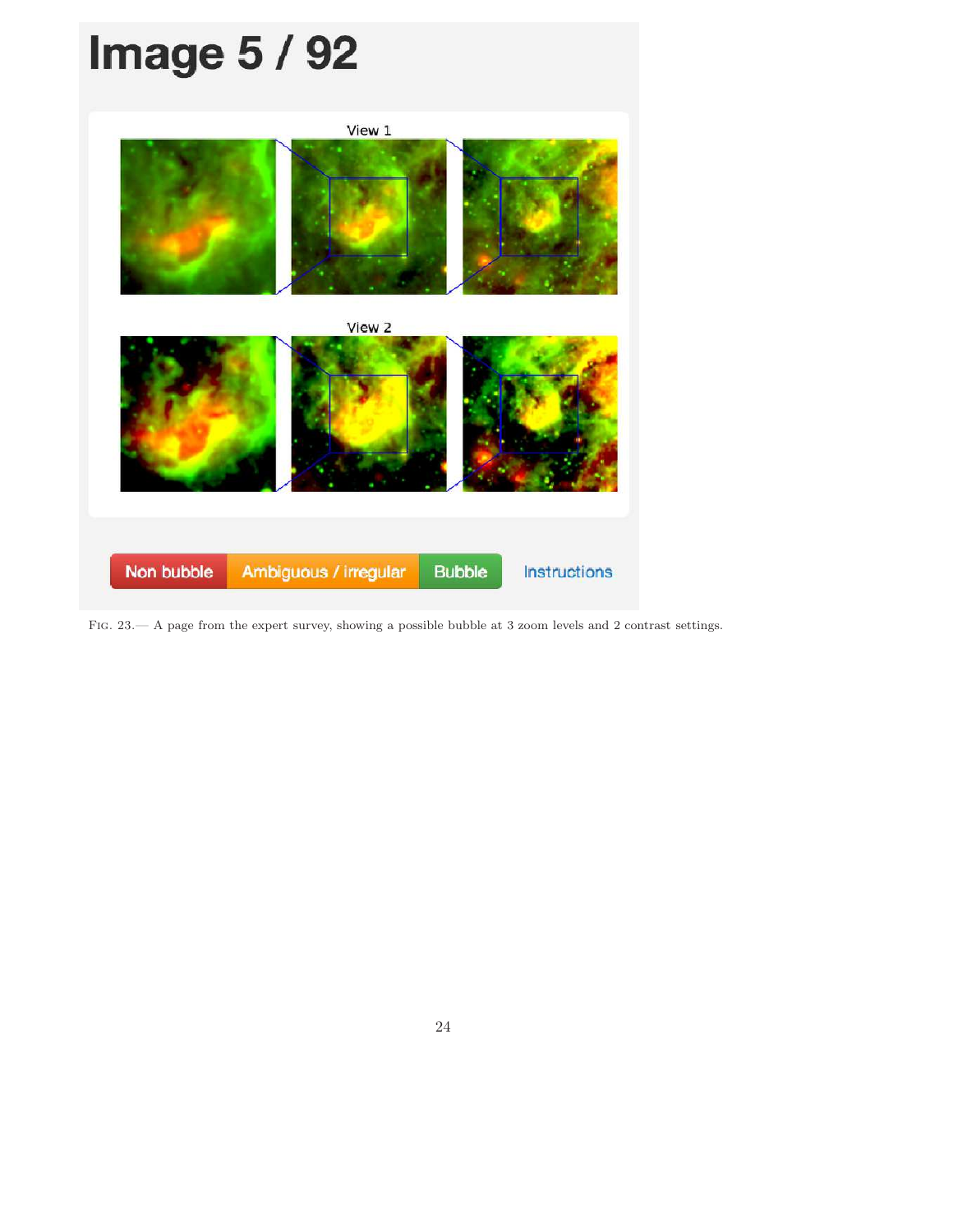# **Image 5 / 92** View 1 View 2 Non bubble Ambiguous / irregular **Bubble** Instructions

<span id="page-24-0"></span>Fig. 23.— A page from the expert survey, showing a possible bubble at 3 zoom levels and 2 contrast settings.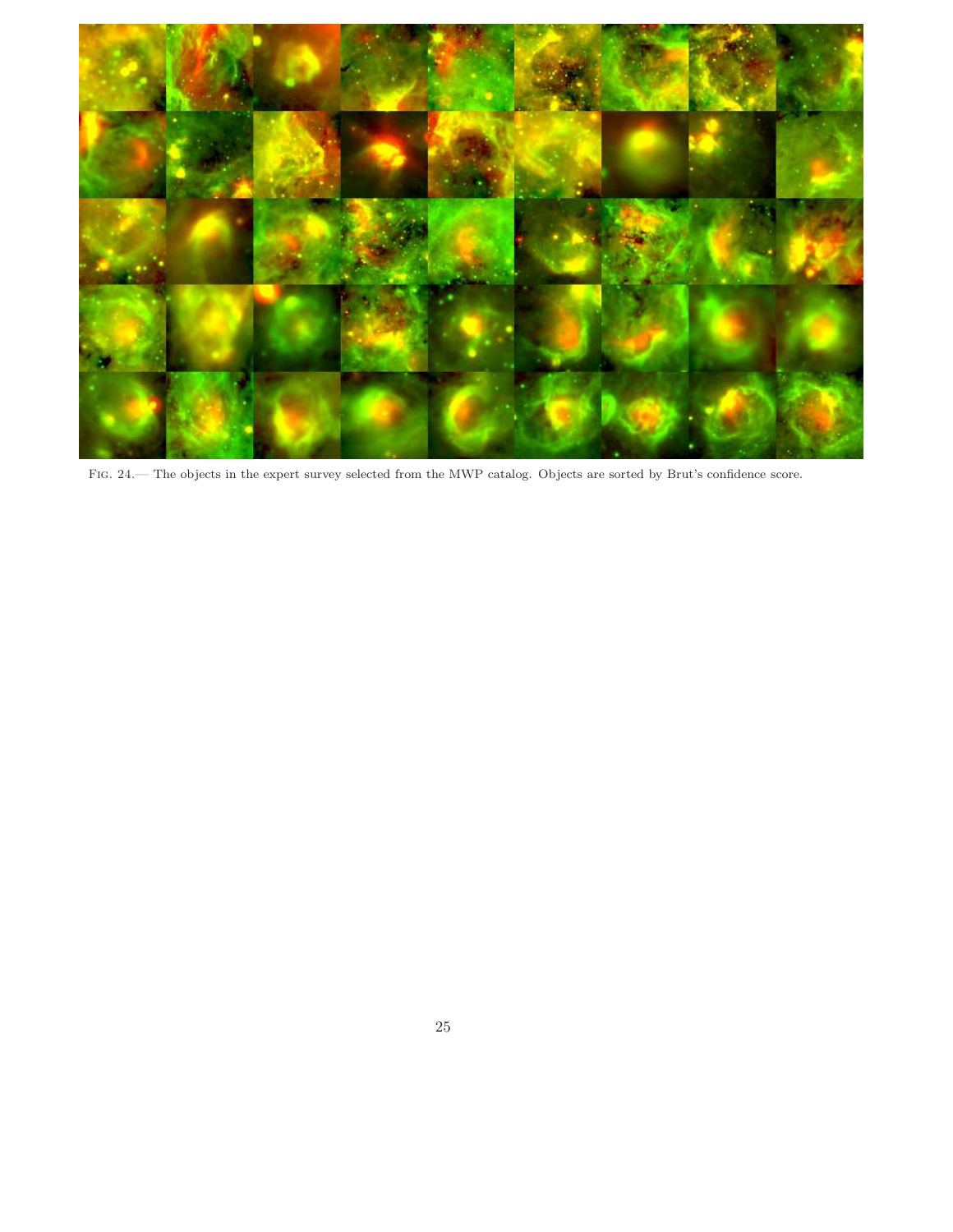<span id="page-25-0"></span>![](_page_25_Picture_0.jpeg)

Fig. 24.— The objects in the expert survey selected from the MWP catalog. Objects are sorted by Brut's confidence score.